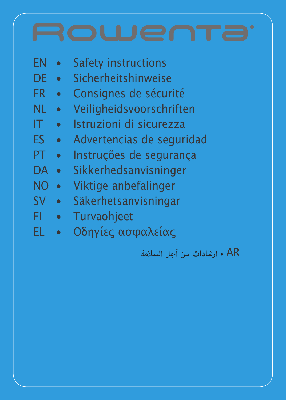

AR • إرشادات من أجل السالمة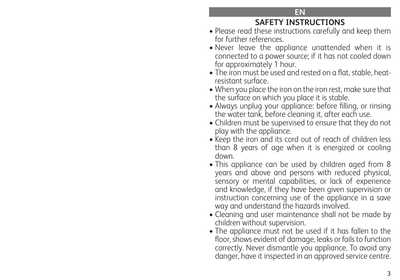### **EN**

# **SAFETY INSTRUCTIONS**

- Please read these instructions carefully and keep them for further references.
- Never leave the appliance unattended when it is connected to a power source; if it has not cooled down for approximately 1 hour.
- The iron must be used and rested on a flat, stable, heatresistant surface.
- When you place the iron on the iron rest, make sure that the surface on which you place it is stable.
- Always unplug your appliance: before filling, or rinsing the water tank, before cleaning it, after each use.
- Children must be supervised to ensure that they do not play with the appliance.
- Keep the iron and its cord out of reach of children less than 8 years of age when it is energized or cooling down.
- This appliance can be used by children aged from 8 years and above and persons with reduced physical, sensory or mental capabilities, or lack of experience and knowledge, if they have been given supervision or instruction concerning use of the appliance in a save way and understand the hazards involved.
- Cleaning and user maintenance shall not be made by children without supervision.
- The appliance must not be used if it has fallen to the floor, shows evident of damage, leaks or fails to function correctly. Never dismantle you appliance. To avoid any danger, have it inspected in an approved service centre.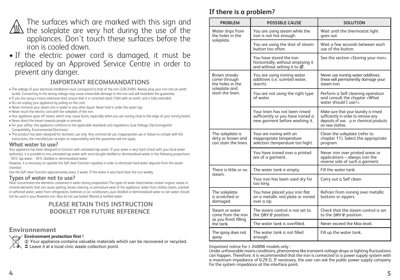

The surfaces which are marked with this sign and  $\sqrt{\text{\tiny{M}}\text{\tiny{M}}}$  the soleplate are very hot during the use of the appliances. Don't touch these surfaces before the iron is cooled down.

• If the electric power cord is damaged, it must be replaced by an Approved Service Centre in order to prevent any danger.

#### **IMPORTANT RECOMMANDATIONS**

- The voltage of your electrical installation must correspond to that of the iron (220-240V). Always plug your iron into an earth socket. Connecting to the wrong voltage may cause irreversible damage to the iron and will invalidate the guarantee.
- If you are using a mains extension lead, ensure that it is corrected rated (16A) with an earth, and is fully extended.
- Do not unplug your appliance by pulling on the cord.
- Never immerse your steam iron in water or any other liquid. Never hold it under the water tap.
- Never touch the electric cord with the soleplate of the iron.
- Your appliance gives off steam, which may cause burns, especially when you are ironing close to the edge of your ironing board.
- Never direct the steam towards people or animals.
- For your saftey, this appliance conforms to the applicable standards and regulations (Low Voltage, Electromagnetic Compatibility, Environmental Directives).
- This product has been designed for domestic use only. Any commercial use, inappropriate use or failure to comply with the instructions, the manufacturer accepts no responsibility and the guarantee will not apply.

#### **What water to use?**

Your appliance has been designed to function with untreated tap water. If your water is very hard (check with your local water authority), it is possible to mix untreated tap water with store-bought distilled or demineralised water in the following proportions: - 50% tap water, - 50% distilled or demineralised water.

However, it is necessary to operate the Self clean function regularly in order to eliminate hard water deposits from the steam chamber.

Use the Self clean function approximately every 2 weeks. If the water is very hard clean the iron weekly

#### **Types of water not to use?**

Heat concentrates the elements contained in water during evaporation.The types of water listed below contain organic waste or mineral elements that can cause spitting, brown staining, or premature wear of the appliance: water from clothes dryers, scented or softened water, water from refrigerators, batteries or air conditioners, pure distilled or demineralised water or rain water should not be used in your Rowenta iron. Also do not use boiled, filtered or bottled water.

#### **PLEASE RETAIN THIS INSTRUCTION BOOKLET FOR FUTURE REFERENCE**

#### **Environnement**

#### **Environment protection first !**

 $\odot$  Your appliance contains valuable materials which can be recovered or recycled. Leave it at a local civic waste collection point. Important notice for ≥ 2400W models only :

# **If there is a problem?**

| <b>PROBLEM</b>                                                 | <b>POSSIBLE CAUSE</b>                                                                                 | <b>SOLUTION</b>                                                                                                                           |
|----------------------------------------------------------------|-------------------------------------------------------------------------------------------------------|-------------------------------------------------------------------------------------------------------------------------------------------|
| Water drips from<br>the holes in the                           | You are using steam while the<br>iron is not hot enough.                                              | Wait until the thermostat light<br>goes out.                                                                                              |
| soleplate.                                                     | You are using the shot of steam<br>button too often.                                                  | Wait a few seconds between each<br>use of the button.                                                                                     |
|                                                                | You have stored the iron<br>horizontally, without emptying it<br>and without setting it to @.         | See the section «Storing your iron».                                                                                                      |
| <b>Brown streaks</b><br>come through<br>the holes in the       | You are using ironing water<br>additives (i.e. scented water,<br>starch).                             | Never use ironing water additives;<br>these will permanently damage your<br>steam iron.                                                   |
| soleplate and<br>stain the linen.                              | You are not using the right type<br>of water.                                                         | Perform a Self cleaning operation<br>and consult the chapter «What<br>water should I use?».                                               |
|                                                                | Your linen has not been rinsed<br>sufficiently or you have ironed a<br>new garment before washing it. | Make sure that your laundry is rinsed<br>sufficiently in order to remove any<br>deposits of soa p or chemical products<br>on new clothes. |
| The soleplate is<br>dirty or brown and<br>can stain the linen. | Your are ironing with an<br>inappropriate temperature<br>selection (temperature too high).            | Clean the soleplate (refer to<br>chapter 11). Select the appropriate<br>program.                                                          |
|                                                                | You have ironed over a printed<br>are of a garment.                                                   | Never iron over printed areas or<br>applications – always iron the<br>reverse side of such a garment.                                     |
| There is little or no                                          | The water tank is empty.                                                                              | Fill the water tank.                                                                                                                      |
| steam.                                                         | Your iron has been used dry for<br>too long.                                                          | Carry out a Self clean.                                                                                                                   |
| The soleplate<br>is scratched or<br>damaged.                   | You have placed your iron flat<br>on a metallic rest-plate or ironed<br>over a zip.                   | Refrain from ironing over metallic<br>buttons or zippers.                                                                                 |
| Steam or water<br>come from the iron<br>as you finish filling  | The steam control is not set to<br>the DRY & position.                                                | Check that the steam control is set<br>to the DRY @ position.                                                                             |
| the tank.                                                      | The water tank is overfilled.                                                                         | Never exceed the Max level.                                                                                                               |
| The spray does not<br>spray.                                   | The water tank is not filled<br>enouah.                                                               | Fill up the water tank.                                                                                                                   |

Under unfavorable mains conditions, phenomena like transient voltage drops or lighting fluctuations can happen. Therefore, it is recommended that the iron is connected to a power supply system with a maximum impedance of 0,29 Ω. If necessary, the user can ask the public power supply company for the system impedance at the interface point.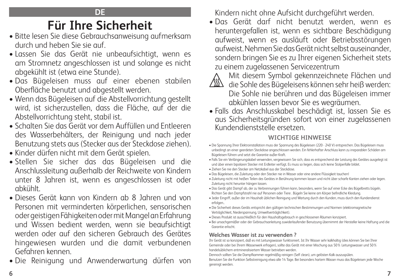# **Für Ihre Sicherheit**

- Bitte lesen Sie diese Gebrauchsanweisung aufmerksam durch und heben Sie sie auf.
- Lassen Sie das Gerät nie unbeaufsichtigt, wenn es am Stromnetz angeschlossen ist und solange es nicht abgekühlt ist (etwa eine Stunde).
- Das Bügeleisen muss auf einer ebenen stabilen Oberfläche benutzt und abgestellt werden.
- Wenn das Bügeleisen auf die Abstellvorrichtung gestellt wird, ist sicherzustellen, dass die Fläche, auf der die Abstellvorrichtung steht, stabil ist.
- Schalten Sie das Gerät vor dem Auffüllen und Entleeren des Wasserbehälters, der Reinigung und nach jeder Benutzung stets aus (Stecker aus der Steckdose ziehen).
- Kinder dürfen nicht mit dem Gerät spielen.
- Stellen Sie sicher das das Bügeleisen und die Anschlussleitung außerhalb der Reichweite von Kindern unter 8 Jahren ist, wenn es angeschlossen ist oder abkühlt.
- Dieses Gerät kann von Kindern ab 8 Jahren und von Personen mit verminderten körperlichen, sensorischen oder geistigen Fähigkeiten oder mit Mangel an Erfahrung und Wissen bedient werden, wenn sie beaufsichtigt werden oder auf den sicheren Gebrauch des Gerätes hingewiesen wurden und die damit verbundenen Gefahren kennen.
- Die Reinigung und Anwenderwartung dürfen von

Kindern nicht ohne Aufsicht durchgeführt werden.

• Das Gerät darf nicht benutzt werden, wenn es heruntergefallen ist, wenn es sichtbare Beschädigung aufweist, wenn es ausläuft oder Betriebsstörungen aufweist. Nehmen Sie das Gerät nicht selbst auseinander, sondern bringen Sie es zu Ihrer eigenen Sicherheit stets zu einem zugelassenen Servicezentrum



Mit diesem Symbol gekennzeichnete Flächen und

- die Sohle des Bügeleisens können sehr heiß werden: Die Sohle nie berühren und das Bügeleisen immer abkühlen lassen bevor Sie es wegräumen.
- Falls das Anschlusskabel beschädigt ist, lassen Sie es aus Sicherheitsgründen sofort von einer zugelassenen Kundendienststelle ersetzen.

# **WICHTIGE HINWEISE**

- Die Spannung Ihrer Elektroinstallation muss der Spannung des Bügeleisen (220 240 V) entsprechen. Das Bügeleisen muss unbedingt an einer geerdeten Steckdose angeschlossen werden. Ein fehlerhafter Anschluss kann zu irreparablen Schäden am Bügeleisen führen und setzt die Garantie außer Kraft.
- Falls Sie ein Verlängerungskabel verwenden, vergewissern Sie sich, dass es entsprechend der Leistung des Gerätes ausgelegt ist und über einen bipolaren Stecker mit Erdleiter verfügt. Es muss so liegen, dass sich keine Stolperfalle bildet.
- Ziehen Sie nie den Stecker am Netzkabel aus der Steckdose.
- Das Bügeleisen, die Zuleitung oder den Stecker nie in Wasser oder eine andere Flüssigkeit tauchen!
- Zuleitung nicht mit heißen Teilen des Gerätes in Berührung kommen lassen und nicht über scharfe Kanten ziehen oder legen. Zuleitung nicht herunter hängen lassen.
- Das Gerät gibt Dampf ab, der zu Verbrennungen führen kann, besonders, wenn Sie auf einer Ecke des Bügelbretts bügeln. Richten Sie den Dampfstrahl nie auf Personen oder Tiere . Bügeln Sie keine am Körper befindliche Kleidung.
- Jeder Eingriff, außer der im Haushalt üblichen Reinigung und Wartung durch den Kunden, muss durch den Kundendienst erfolgen.
- Die Sicherheit dieses Geräts entspricht den gültigen technischen Bestimmungen und Normen (elektromagnetische Verträglichkeit, Niederspannung, Umweltverträglichkeit).
- Dieses Produkt ist ausschließlich für den Haushaltsgebrauch in geschlossenen Räumen konzipiert.
- Bei unsachgemäßer oder der Gebrauchsanleitung zuwiderlaufender Benutzung übernimmt der Hersteller keine Haftung und die Garantie erlischt.

### **Welches Wasser ist zu verwenden ?**

Ihr Gerät ist so konzipiert, daß es mit Leitungswasser funktioniert. Ist Ihr Wasser sehr kalkhaltig (dies können Sie bei Ihrer Gemeinde oder bei Ihrem Wasserwerk erfragen), sollte das Gerät mit einer Mischung aus 50% Leitungswasser und 50% handelsüblichem entmineralisiertem Wasser betrieben werden.

Dennoch sollten Sie die Dampfkammer regelmäßig reinigen (Self clean), um gelösten Kalk auszuspülen. Benutzen Sie die Funktion Selbstreinigung etwa alle 14 Tage. Bei besonders hartem Wasser muss das Bügeleisen jede Woche gereinigt werden.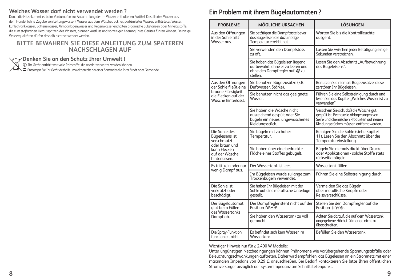#### **Welches Wasser darf nicht verwendet werden ?**

Durch die Hitze kommt es beim Verdampfen zur Ansammlung der im Wasser enthaltenen Partikel. Destilliertes Wasser aus dem Handel (ohne Zugabe von Leitungswasser), Wasser aus dem Wäschetrockner, parfümiertes Wasser, enthärtetes Wasser, Kühlschrankwasser, Batteriewasser, Klimaanlagenwasser und Regenwasser enthalten organische Substanzen oder Mineralstoffe, die zum stoßartigen Herausspritzen des Wassers, braunen Ausfluss und vorzeitiger Alterung Ihres Gerätes führen können. Derartige Wasserqualitäten dürfen deshalb nicht verwendet werden.

#### **BITTE BEWAHREN SIE DIESE ANLEITUNG ZUM SPÄTEREN NACHSCHLAGEN AUF**

**Denken Sie an den Schutz Ihrer Umwelt !**<br>© Ihr Gerät enthält wertvolle Rohstoffe, die wieder verwertet werden können.<br>© Entsorgen Sie Ihr Gerät deshalb umweltgerecht bei einer Sammelstelle Ihrer Stadt oder Gemeinde.

#### **Ein Problem mit ihrem Bügelautomaten ?**

| <b>PROBLEME</b>                                                      | <b>MÖGLICHE URSACHEN</b>                                                                                           | <b>LÖSUNGEN</b>                                                                                                                                                             |
|----------------------------------------------------------------------|--------------------------------------------------------------------------------------------------------------------|-----------------------------------------------------------------------------------------------------------------------------------------------------------------------------|
| Aus den Öffnungen<br>in der Sohle tritt<br>Wasser aus.               | Sie betätigen die Dampftaste bevor<br>das Bügeleisen die dazu nötige<br>Temperatur erreicht hat.                   | Warten Sie bis die Kontrollleuchte<br>ausgeht.                                                                                                                              |
|                                                                      | Sie verwenden den Dampfstoss<br>zu oft.                                                                            | Lassen Sie zwischen jeder Betätigung einige<br>Sekunden verstreichen.                                                                                                       |
|                                                                      | Sie haben das Bügeleisen liegend<br>aufbewahrt, ohne es zu leeren und<br>ohne den Dampfregler auf « zu<br>stellen. | Lesen Sie den Abschnitt "Aufbewahrung<br>des Bügeleisens".                                                                                                                  |
| Aus den Öffnungen<br>der Sohle fließt eine                           | Sie benutzen Bügelzusätze (z.B.<br>Duftwasser, Stärke).                                                            | Benutzen Sie niemals Bügelzusätze, diese<br>zerstören Ihr Bügeleisen.                                                                                                       |
| braune Flüssigkeit,<br>die Flecken auf der<br>Wäsche hinterlässt.    | Sie benutzen nicht das geeignete<br>Wasser.                                                                        | Führen Sie eine Selbstreinigung durch und<br>lesen Sie das Kapitel "Welches Wasser ist zu<br>verwenden".                                                                    |
|                                                                      | Sie haben die Wäsche nicht<br>ausreichend gespült oder Sie<br>bügeln ein neues, ungewaschenes<br>Kleidungsstück.   | Versichern Sie sich, daß die Wäsche gut<br>gespült ist. Eventuelle Ablagerungen von<br>Šeife und chemischen Produkten auf neuen<br>Kleidungsstücken müssen entfernt werden. |
| Die Sohle des<br>Bügeleisens ist<br>verschmutzt                      | Sie bügeln mit zu hoher<br>Temperatur.                                                                             | Reinigen Sie die Sohle (siehe Kapitel<br>11). Lesen Sie den Abschnitt über die<br>Temperatureinstellung.                                                                    |
| oder braun und<br>kann Flecken<br>auf der Wäsche<br>hinterlassen.    | Sie haben über eine bedruckte<br>Fläche eines Stoffes gebügelt.                                                    | Bügeln Sie niemals direkt über Drucke<br>oder Applikationen - solche Stoffe stets<br>rückseitig bügeln.                                                                     |
| Es tritt kein oder nur                                               | Der Wassertank ist leer.                                                                                           | Wassertank füllen.                                                                                                                                                          |
| wenig Dampf aus.                                                     | Ihr Bügeleisen wurde zu lange zum<br>Trockenbügeln verwendet.                                                      | Führen Sie eine Selbstreinigung durch.                                                                                                                                      |
| Die Sohle ist<br>verkratzt oder<br>beschädigt.                       | Sie haben Ihr Bügeleisen mit der<br>Sohle auf eine metallische Unterlage<br>gestellt.                              | Vermeiden Sie das Bügeln<br>über metallische Knöpfe oder<br>Reissversschlüsse.                                                                                              |
| Der Bügelautomat<br>aibt beim Füllen<br>des Wassertanks<br>Dampf ab. | Der Dampfregler steht nicht auf der<br>Position DRY 命.                                                             | Stellen Sie den Dampfregler auf die<br>Position DRY 金.                                                                                                                      |
|                                                                      | Sie haben den Wassertank zu voll<br>aemacht.                                                                       | Achten Sie darauf, die auf dem Wassertank<br>angegebene Höchstfüllmenge nicht zu<br>überschreiten.                                                                          |
| Die Spray-Funktion<br>funktioniert nicht.                            | Es befindet sich kein Wasser im<br>Wassertank.                                                                     | Befüllen Sie den Wassertank.                                                                                                                                                |

Wichtiger Hinweis nur für ≥ 2.400 W Modelle:

Unter ungünstigen Netzbedingungen können Phänomene wie vorübergehende Spannungsabfälle oder Beleuchtungsschwankungen auftreten. Daher wird empfohlen, das Bügeleisen an ein Stromnetz mit einer maximalen Impedanz von 0,29 Ω anzuschließen. Bei Bedarf kontaktieren Sie bitte Ihren öffentlichen Stromversorger bezüglich der Systemimpedanz am Schnittstellenpunkt.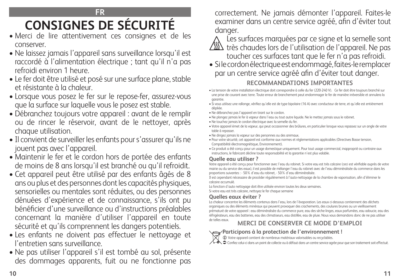# **FR CONSIGNES DE SÉCURITÉ**

- Merci de lire attentivement ces consignes et de les conserver.
- Ne laissez jamais l'appareil sans surveillance lorsqu'il est raccordé à l'alimentation électrique ; tant qu'il n'a pas refroidi environ 1 heure.
- Le fer doit être utilisé et posé sur une surface plane, stable et résistante à la chaleur.
- Lorsque vous posez le fer sur le repose-fer, assurez-vous que la surface sur laquelle vous le posez est stable.
- Débranchez toujours votre appareil : avant de le remplir ou de rincer le réservoir, avant de le nettoyer, après chaque utilisation.
- Il convient de surveiller les enfants pour s'assurer qu'ils ne jouent pas avec l'appareil.
- Maintenir le fer et le cordon hors de portée des enfants de moins de 8 ans lorsqu'il est branché ou qu'il refroidit.
- Cet appareil peut être utilisé par des enfants âgés de 8 ans ou plus et des personnes dont les capacités physiques, sensorielles ou mentales sont réduites, ou des personnes dénuées d'expérience et de connaissance, s'ils ont pu bénéficier d'une surveillance ou d'instructions préalables concernant la manière d'utiliser l'appareil en toute sécurité et qu'ils comprennent les dangers potentiels.
- Les enfants ne doivent pas effectuer le nettoyage et l'entretien sans surveillance.
- Ne pas utiliser l'appareil s'il est tombé au sol, présente des dommages apparents, fuit ou ne fonctionne pas

correctement. Ne jamais démonter l'appareil. Faites-le examiner dans un centre service agréé, afin d'éviter tout danger.

Les surfaces marquées par ce signe et la semelle sont  $\sqrt{\mathbb{N}}$  très chaudes lors de l'utilisation de l'appareil. Ne pas toucher ces surfaces tant que le fer n'a pas refroidi.

• Si le cordon électrique est endommagé, faites-le remplacer par un centre service agréé afin d'éviter tout danger. **RECOMMANDATIONS IMPORTANTES**

#### • La tension de votre installation électrique doit correspondre à celle du fer (220-240 V). Ce fer doit être toujours branché sur une prise de courant avec terre. Toute erreur de branchement peut endommager le fer de manière irréversible et annulera la garantie.

- Si vous utilisez une rallonge, vérifiez qu'elle est de type bipolaire (16 A) avec conducteur de terre, et qu'elle est entièrement dépliée.
- Ne débranchez pas l'appareil en tirant sur le cordon.
- Ne plongez jamais le fer à vapeur dans l'eau ou tout autre liquide. Ne le mettez jamais sous le robinet.
- Ne touchez jamais le cordon électrique avec la semelle du fer.
- Votre appareil émet de la vapeur, qui peut occasionner des brûlures, en particulier lorsque vous repassez sur un angle de votre table à repasser.
- Ne dirigez jamais la vapeur sur des personnes ou des animaux.
- Pour votre sécurité, cet appareil est conforme aux normes et réglementations applicables (Directives Basse tension, Compatibilité électromagnétique, Environnement).
- Ce produit a été conçu pour un usage domestique uniquement. Pour tout usage commercial, inapproprié ou contraire aux instructions, le fabricant décline toute responsabilité et la garantie n'est plus valable.

### **Quelle eau utiliser ?**

Votre appareil a été conçu pour fonctionner avec l'eau du robinet. Si votre eau est très calcaire (ceci est vérifiable auprès de votre mairie ou du service des eaux), il est possible de mélanger l'eau du robinet avec de l'eau déminéralisée du commerce dans les proportions suivantes : - 50% d'eau du robinet, - 50% d'eau déminéralisée.

Il est cependant nécessaire de procéder régulièrement à l'auto-nettoyage de la chambre de vaporisation, afin d'éliminer le calcaire accumulé.

La fonction d'auto nettoyage doit être utilisée environ toutes les deux semaines. Si votre eau est très calcaire, nettoyez le fer chaque semaine

### **Quelles eaux éviter ?**

La chaleur concentre les éléments contenus dans l'eau, lors de l'évaporation. Les eaux ci-dessous contiennent des déchets organiques ou des éléments minéraux qui peuvent provoquer des crachements, des coulures brunes ou un vieillissement prématuré de votre appareil : eau déminéralisée du commerce pure, eau des sèche-linges, eaux parfumées, eau adoucie, eau des réfrigérateurs, eau des batteries, eau des climatiseurs, eau distillée, eau de pluie. Nous vous demandons donc de ne pas utiliser

# de telles eaux. **MERCI DE CONSERVER CE MODE D'EMPLOI**

# **Participons à la protection de l'environnement !**

i Votre appareil contient de nombreux matériaux valorisables ou recyclables. Confiez celui-ci dans un point de collecte ou à défaut dans un centre service agrée pour que son traitement soit effectué.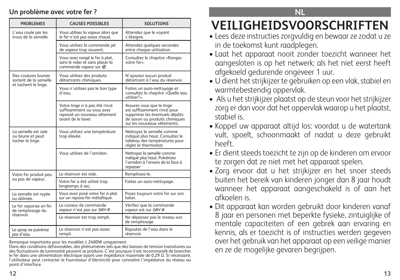#### **Un problème avec votre fer ?**

| <b>PROBLEMES</b>                                            | <b>CAUSES POSSIBLES</b>                                                                                         | <b>SOLUTIONS</b>                                                                                                                                            |
|-------------------------------------------------------------|-----------------------------------------------------------------------------------------------------------------|-------------------------------------------------------------------------------------------------------------------------------------------------------------|
| L'eau coule par les<br>trous de la semelle.                 | Vous utilisez la vapeur alors que<br>le fer n'est pas assez chaud.                                              | Attendez que le voyant<br>s'éteigne.                                                                                                                        |
|                                                             | Vous utilisez la commande jet<br>de vapeur trop souvent.                                                        | Attendez quelques secondes<br>entre chaque utilisation.                                                                                                     |
|                                                             | Vous avez rangé le fer à plat,<br>sans le vider et sans placer la<br>commande vapeur sur $\frac{20}{20}$ .      | Consultez le chapitre «Rangez<br>votre fer».                                                                                                                |
| Des coulures brunes<br>sortent de la semelle                | Vous utilisez des produits<br>détartrants chimiques.                                                            | N'ajoutez aucun produit<br>détartrant à l'eau du réservoir.                                                                                                 |
| et tachent le linge.                                        | Vous n'utilisez pas le bon type<br>d'eau.                                                                       | Faites un auto-nettoyage et<br>consultez le chapitre «Quelle eau<br>utiliser?».                                                                             |
|                                                             | Votre linge n'a pas été rincé<br>suffisamment ou vous avez<br>repassé un nouveau vêtement<br>avant de le laver. | Assurez vous que le linge<br>est suffisamment rincé pour<br>supprimer les éventuels dépôts<br>de savon ou produits chimiques<br>sur les nouveaux vêtements. |
| La semelle est sale<br>ou brune et peut<br>tacher le linge. | Vous utilisez une température<br>trop élevée.                                                                   | Nettoyez la semelle comme<br>indiqué plus haut. Consultez le<br>tableau des températures pour<br>régler le thermostat.                                      |
|                                                             | Vous utilisez de l'amidon.                                                                                      | Nettoyez la semelle comme<br>indiqué plus haut. Pulvérisez<br>l'amidon à l'envers de la face à<br>repasser                                                  |
| Votre fer produit peu                                       | Le réservoir est vide.                                                                                          | Remplissez-le.                                                                                                                                              |
| ou pas de vapeur.                                           | Votre fer a été utilisé trop<br>longtemps à sec.                                                                | Faites un auto-nettoyage.                                                                                                                                   |
| La semelle est rayée<br>ou abîmée.                          | Vous avez posé votre fer à plat<br>sur un repose-fer métallique.                                                | Posez toujours votre fer sur son<br>talon.                                                                                                                  |
| Le fer vaporise en fin<br>de remplissage du<br>réservoir.   | Le curseur de commande<br>vapeur n'est pas sur DRY 命.                                                           | Vérifiez que la commande<br>vapeur est sur DRY 命.                                                                                                           |
|                                                             | Le réservoir est trop rempli.                                                                                   | Ne dépassez pas le niveau MAX<br>de remplissage.                                                                                                            |
| Le spray ne pulvérise<br>pas d'eau.                         | Le réservoir n'est pas assez<br>rempli.                                                                         | Rajoutez de l'eau dans le<br>réservoir.                                                                                                                     |

Remarque importante pour les modèles ≥ 2400W uniquement:

Dans des conditions défavorables, des phénomènes tels que des baisses de tension transitoires ou des fluctuations de luminosité peuvent se produire. C'est pourquoi il est recommandé de brancher le fer dans une alimentation électrique ayant une impédance maximale de 0,29 Ω. Si nécessaire, l'utilisateur peut contacter le fournisseur d'électricité pour connaitre l'impédance du réseau au point d'interface.

**NL**

# **VEILIGHEIDSVOORSCHRIFTEN**

- Lees deze instructies zorgvuldig en bewaar ze zodat u ze in de toekomst kunt raadplegen.
- Laat het apparaat nooit zonder toezicht wanneer het aangesloten is op het netwerk; als het niet eerst heeft afgekoeld gedurende ongeveer 1 uur.
- U dient het strijkijzer te gebruiken op een vlak, stabiel en warmtebestendig oppervlak.
- Als u het strijkijzer plaatst op de steun voor het strijkijzer zorg er dan voor dat het oppervlak waarop u het plaatst, stabiel is.
- Koppel uw apparaat altijd los: voordat u de watertank vult, spoelt, schoonmaakt of nadat u deze gebruikt heeft.
- Er dient steeds toezicht te zijn op de kinderen om ervoor te zorgen dat ze niet met het apparaat spelen.
- Zorg ervoor dat u het strijkijzer en het snoer steeds buiten het bereik van kinderen jonger dan 8 jaar houdt wanneer het apparaat aangeschakeld is of aan het afkoelen is.
- Dit apparaat kan worden gebruikt door kinderen vanaf 8 jaar en personen met beperkte fysieke, zintuiglijke of mentale capaciteiten of een gebrek aan ervaring en kennis, als er toezicht is of instructies werden gegeven over het gebruik van het apparaat op een veilige manier en ze de mogelijke gevaren begrijpen.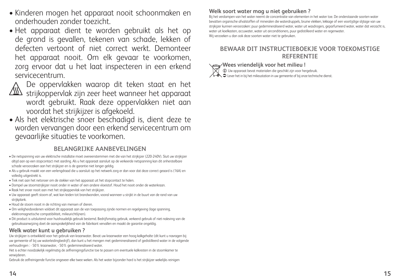- Kinderen mogen het apparaat nooit schoonmaken en onderhouden zonder toezicht.
- Het apparaat dient te worden gebruikt als het op de grond is gevallen, tekenen van schade, lekken of defecten vertoont of niet correct werkt. Demonteer het apparaat nooit. Om elk gevaar te voorkomen, zorg ervoor dat u het laat inspecteren in een erkend servicecentrum.



 De oppervlakken waarop dit teken staat en het  $\langle \frac{\sqrt{3}}{3} \rangle$  strijkoppervlak zijn zeer heet wanneer het apparaat wordt gebruikt. Raak deze oppervlakken niet aan voordat het strijkijzer is afgekoeld.

• Als het elektrische snoer beschadigd is, dient deze te worden vervangen door een erkend servicecentrum om gevaarlijke situaties te voorkomen.

#### **BELANGRIJKE AANBEVELINGEN**

- De netspanning van uw elektrische installatie moet overeenstemmen met die van het strijkijzer (220-240V). Sluit uw strijkijzer altijd aan op een stopcontact met aarding. Als u het apparaat aansluit op de verkeerde netspanning kan dit onherstelbare schade veroorzaken aan het strijkijzer en is de garantie niet langer geldig.
- Als u gebruik maakt van een verlengdraad die u aansluit op het netwerk zorg er dan voor dat deze correct geaard is (16A) en volledig uitgestrekt is.
- Trek niet aan het netsnoer om de stekker van het apparaat uit het stopcontact te halen.
- Dompel uw stoomstrijkijzer nooit onder in water of een andere vloeistof. Houd het nooit onder de waterkraan.
- Raak het snoer nooit aan met het strijkoppervlak van het strijkijzer.
- Uw apparaat geeft stoom af, wat kan leiden tot brandwonden, vooral wanneer u strijkt in de buurt van de rand van uw strijkplank.
- Houd de stoom nooit in de richting van mensen of dieren.
- Om veiligheidsredenen voldoet dit apparaat aan de van toepassing zijnde normen en regelgeving (lage spanning, elektromagnetische compatibiliteit, milieurichtlijnen).
- Dit product is uitsluitend voor huishoudelijk gebruik bestemd. Bedrijfsmatig gebruik, verkeerd gebruik of niet-naleving van de gebruiksaanwijzing doet de aansprakelijkheid van de fabrikant vervallen en maakt de garantie ongeldig.

#### **Welk water kunt u gebruiken ?**

Uw strijkijzer is ontwikkeld voor het gebruik van kraanwater. Bevat uw kraanwater een hoog kalkgehalte (dit kunt u navragen bij uw gemeente of bij uw waterleidingbedrijf), dan kunt u het mengen met gedemineraliseerd of gedistilleerd water in de volgende verhoudingen : - 50% kraanwater, - 50% gedemineraliseerd water.

Het is echter noodzakelijk regelmatig de zelfreinigingsfunctie toe te passen om eventuele kalkresten in de stoomkamer te verwijderen.

Gebruik de zelfreinigende functie ongeveer elke twee weken. Als het water bijzonder hard is het strijkijzer wekelijks reinigen

#### **Welk soort water mag u niet gebruiken ?**

Bij het verdampen van het water neemt de concentratie van elementen in het water toe. De onderstaande soorten water bevatten organische afvalstoffen of mineralen die waterdruppels, bruine vlekken, lekkage of een voortijdige slijtage van uw strijkijzer kunnen veroorzaken: puur gedemineraliseerd water, water uit wasdrogers, geparfumeerd water, water dat verzacht is, water uit koelkasten, accuwater, water uit airconditioners, puur gedistilleerd water en regenwater. Wij verzoeken u dan ook deze soorten water niet te gebruiken.

#### **BEWAAR DIT INSTRUCTIEBOEKJE VOOR TOEKOMSTIGE REFERENTIE**

**Wees vriendelijk voor het milieu !** i Uw apparaat bevat materialen die geschikt zijn voor hergebruik.  $\triangle \blacklozenge$   $\Box$  Lever het in bij het milieustation in uw gemeente of bij onze technische dienst.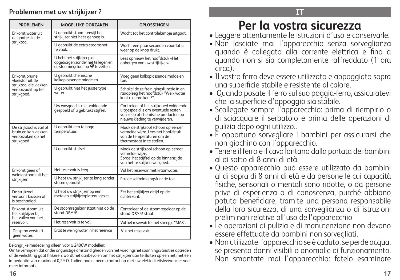#### **Problemen met uw strijkijzer ?**

| <b>PROBLEMEN</b>                                                                     | <b>MOGELIJKE OORZAKEN</b>                                                                                        | OPLOSSINGEN                                                                                                                                          |
|--------------------------------------------------------------------------------------|------------------------------------------------------------------------------------------------------------------|------------------------------------------------------------------------------------------------------------------------------------------------------|
| Er komt water uit<br>de gaatjes in de                                                | U gebruikt stoom terwijl het<br>strijkijzer niet heet genoeg is.                                                 | Wacht tot het controlelampje uitgaat.                                                                                                                |
| strijkzool.                                                                          | U gebruikt de extra-stoomshot<br>te vaak.                                                                        | Wacht een paar seconden voordat u<br>weer op de knop drukt.                                                                                          |
|                                                                                      | U hebt het strijkijzer plat<br>opgeborgen zonder het te legen en<br>de stoomregelaar op <sup>22</sup> te zetten. | Lees opnieuw het hoofdstuk «Het<br>opbergen van uw strijkijzer».                                                                                     |
| Er komt bruine<br>vloeistof uit de<br>striikzool die vlekken                         | U gebruikt chemische<br>kalkoplossende middelen.                                                                 | Voeg geen kalkoplossende middelen<br>toe.                                                                                                            |
| veroorzaakt op het<br>strijkgoed.                                                    | U gebruikt niet het juiste type<br>water.                                                                        | Schakel de zelfreinigingsfunctie in en<br>raadpleeg het hoofdstuk "Welk water<br>kunt u gebruiken?".                                                 |
|                                                                                      | Uw wasqoed is niet voldoende<br>gespoeld of u gebruikt stijfsel.                                                 | Controleer of het strijkgoed voldoende<br>uitgespoeld is om eventuele resten<br>van zeep of chemische producten op<br>nieuwe kleding te verwijderen. |
| De strijkzool is vuil of<br>bruin en kan vlekken<br>veroorzaken op het<br>strijkgoed | U gebruikt een te hoge<br>temperatuur.                                                                           | Maak de strijkzool schoon op eerder<br>vermelde wijze. Lees het hoofdstuk<br>van de temperaturen om de<br>thermostaat in te stellen.                 |
|                                                                                      | U gebruikt stijfsel.                                                                                             | Maak de strijkzool schoon op eerder<br>vermelde wiize.<br>Sproei het stijfsel op de binnenzijde<br>van het te strijken wasgoed.                      |
| Er komt geen of                                                                      | Het reservoir is leeg.                                                                                           | Vul het reservoir met kraanwater.                                                                                                                    |
| weinig stoom uit het<br>strijkijzer.                                                 | U hebt uw strijkijzer te lang zonder<br>stoom gebruikt.                                                          | Pas de zelfreinigingsfunctie toe.                                                                                                                    |
| De striikzool<br>vertoont krassen of<br>is beschadigd.                               | U hebt uw strijkijzer op een<br>metalen strijkijzerplateau gezet.                                                | Zet het strijkijzer altijd op de<br>achterkant.                                                                                                      |
| Er komt stoom uit<br>het strijkijzer bij<br>het vullen van het                       | De stoomregelaar staat niet op de<br>stand DRY ®                                                                 | Controleer of de stoomregelaar op de<br>stand DRY 命 staat.                                                                                           |
| reservoir                                                                            | Het reservoir is te vol.                                                                                         | Vul het reservoir tot het streepje "MAX".                                                                                                            |
| De spray verstuift<br>geen water.                                                    | Er zit te weinig water in het reservoir                                                                          | Vul het reservoir.                                                                                                                                   |

Belangrijke mededeling alleen voor ≥ 2400W modellen:

Om te vermijden dat onder ongunstige omstandigheden van het voedingsnet spanningsvariaties optreden of de verlichting gaat flikkeren, wordt het aanbevolen om het strijkijzer aan te sluiten op een net met een impedantie van maximaal 0,29 Ω. Indien nodig, neem contact op met uw elektriciteitsleverancier voor meer informatie.

# **Per la vostra sicurezza**

- Leggere attentamente le istruzioni d'uso e conservarle.
- Non lasciate mai l'apparecchio senza sorveglianza quando è collegato alla corrente elettrica e fino a quando non si sia completamente raffreddato (1 ora circa).
- Il vostro ferro deve essere utilizzato e appoggiato sopra una superficie stabile e resistente al calore.
- Quando posate il ferro sul suo poggia-ferro, assicuratevi che la superficie d'appoggio sia stabile.
- Scollegate sempre l'apparecchio: prima di riempirlo o di sciacquare il serbatoio e prima delle operazioni di pulizia dopo ogni utilizzo..
- È opportuno sorvegliare i bambini per assicurarsi che non giochino con l'apparecchio.
- Tenere il ferro e il cavo lontano dalla portata dei bambini al di sotto di 8 anni di età.
- Questo apparecchio può essere utilizzato da bambini al di sopra di 8 anni di età e da persone le cui capacità fisiche, sensoriali o mentali sono ridotte, o da persone prive di esperienza o di conoscenza, purché abbiano potuto beneficiare, tramite una persona responsabile della loro sicurezza, di una sorveglianza o di istruzioni preliminari relative all'uso dell'apparecchio
- Le operazioni di pulizia e di manutenzione non devono essere effettuate da bambini non sorvegliati.
- Non utilizzate l'apparecchio se è caduto, se perde acqua, se presenta danni visibili o anomalie di funzionamento. Non smontate mai l'apparecchio: fatelo esaminare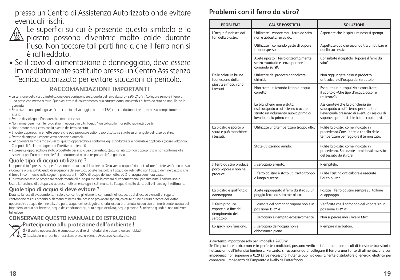presso un Centro di Assistenza Autorizzato onde evitare eventuali rischi.



Le superfici su cui è presente questo simbolo e la  $\sqrt{\text{\tiny M}}$  piastra possono diventare molto calde durante l'uso. Non toccare tali parti fino a che il ferro non si è raffreddato.

• Se il cavo di alimentazione è danneggiato, deve essere immediatamente sostituito presso un Centro Assistenza Tecnica autorizzato per evitare situazioni di pericolo.

#### **RACCOMANDAZIONI IMPORTANTI**

- La tensione della vostra installazione deve corrispondere a quella del ferro da stiro (220- 240 V). Collegare sempre il ferro a una presa con messa a terra. Qualsiasi errore di collegamento può causare danni irreversibili al ferro da stiro ed annullarne la garanzia.
- Se utilizzate una prolunga verificate che sia del voltaggio corretto (16A) con conduttore di terra, e che sia completamente estesa.
- Evitate di scollegare l'apparecchio tirando il cavo.
- Non immergere mai il ferro da stiro in acqua o in altri liquidi. Non collocarlo mai sotto rubinetti aperti.
- Non toccate mai il cavo con la piastra del ferro da stiro.
- Il vostro apparecchio emette vapore che può provocare ustioni, soprattutto se stirate su un angolo dell'asse da stiro..
- Evitate di dirigere il vapore verso persone o animali..
- Per garantire la massima sicurezza, questo apparecchio è conforme agli standard e alle normative applicabili (Basso voltaggio, Compatibilità elettromagnetica, Direttive ambientali)
- Il presente apparecchio è stato progettato per il solo uso domestico. Qualsiasi utilizzo non appropriato o non conforme alle istruzioni per l'uso non vincolerà il produttore ad alcuna responsabilità o garanzia.

#### **Quale tipo di acqua utilizzare ?**

L'apparecchio è predisposto per funzionare con acqua del rubinetto. Se la vostra acqua è ricca di calcare (potete verificarlo presso il Comune o presso l'Azienda di erogazione del servizio), potete mescolare l'acqua del rubinetto con l'acqua demineralizzata che si trova in commercio nelle seguenti proporzioni : - 50% di acqua del rubinetto, 50% di acqua demineralizzata. E' tuttavia necessario procedere regolarmente all'auto-pulizia della camera di vaporizzazione, per eliminare il calcare libero.

Usare la funzione di autopulizia approssimativamente ogni2 settimane. Se l'acqua è molto dura, pulire il ferro ogni settimana.

#### **Quale tipo di acqua si deve evitare ?**

Durante la fase di evaporazione, il calore concentra gli elementi contenuti nell'acqua. I tipi di acqua elencati di seguito contengono residui organici o elementi minerali che possono provocare spruzzi, colature brune o usura precoce del vostro apparecchio : acqua demineralizzata pura, acqua dell'asciugabiancheria, acqua profumata, acqua con ammorbidente, acqua del frigorifero, acqua per batterie, acqua dei condizionatori, pura acqua distillata, acqua piovana. Si richiede quindi di non utilizzare tali acque.

#### **CONSERVARE QUESTO MANUALE DI ISTRUZIONI**

**Partecipiamo alla protezione dell'ambiente !**



 $\bigoplus$  Il vostro apparecchio è composto da diversi materiali che possono essere riciclati

 $\diagup\rightarrow\blacktriangle$   $\blacktriangleright$  Lasciatelo in un punto di raccolta o presso un Centro Assistenza Autorizzato.

# **Problemi con il ferro da stiro?**

| <b>PROBLEMI</b>                                                  | <b>CAUSE POSSIBILI</b>                                                                                                                 | SOLUZIONI                                                                                                                                                                |
|------------------------------------------------------------------|----------------------------------------------------------------------------------------------------------------------------------------|--------------------------------------------------------------------------------------------------------------------------------------------------------------------------|
| L'acqua fuoriesce dai<br>fori della piastra.                     | Utilizzate il vapore ma il ferro da stiro<br>non è abbastanza caldo.                                                                   | Aspettate che la spia luminosa si spenga.                                                                                                                                |
|                                                                  | Utilizzate il comando getto di vapore<br>troppo spesso.                                                                                | Aspettate qualche secondo tra un utilizzo e<br>quello successivo.                                                                                                        |
|                                                                  | Avete riposto il ferro orizzontalmente,<br>senza svuotarlo e senza portare il<br>comando su «.                                         | Consultate il capitolo "Riporre il ferro da<br>stiro".                                                                                                                   |
| Delle colature brune<br>fuoriescono dalla<br>piastra e macchiano | Utilizzate dei prodotti anticalcare<br>chimici.                                                                                        | Non aggiungete nessun prodotto<br>anticalcare all'acqua del serbatoio.                                                                                                   |
| i tessuti.                                                       | Non state utilizzando il tipo d'acqua<br>corretto.                                                                                     | Eseguite un'autopulizia e consultate<br>il capitolo «Che tipo d'acqua occorre<br>utilizzare?»                                                                            |
|                                                                  | La biancheria non è stata<br>rischiacquata a sufficienza o avete<br>stirato un indumento nuovo prima di<br>lavarlo per la prima volta. | Assicuratevi che la biancheria sia<br>sciacquata a sufficienza per smaltire<br>l'eventuale presenza di eventuali residui di<br>sapone o prodotti chimici dai capi nuovi. |
| La piastra è sporca o<br>scura e può macchiare<br>i tessuti.     | Utilizzate una temperatura troppo alta.                                                                                                | Pulite la piastra come indicato in<br>precedenza.Consultate la tabella delle<br>temperature per regolare il termostato.                                                  |
|                                                                  | State utilizzando amido.                                                                                                               | Pulite la piastra come indicato in<br>precedenza. Spruzzate l'amido sul rovescio<br>del tessuto da stirare.                                                              |
| Il ferro da stiro produce                                        | Il serbatoio è vuoto.                                                                                                                  | Riempitelo.                                                                                                                                                              |
| poco vapore o non ne<br>produce                                  | Il ferro da stiro è stato utilizzato troppo<br>a lungo a secco.                                                                        | Pulite l'astina anticalcare e eseguite<br>l'auto-pulizia                                                                                                                 |
| La piastra è graffiata o<br>danneggiata.                         | Avete appoggiato il ferro da stiro su un<br>poggia ferro da stiro metallico.                                                           | Posate il ferro da stiro sempre sul tallone<br>di appoggio.                                                                                                              |
| Il ferro produce<br>vapore alla fine del                         | Il cursore del comando vapore non è in<br>posizione DRY 命.                                                                             | Verificate che il comando del vapore sia in<br>posizione DRY 命.                                                                                                          |
| riempimento del<br>serbatoio.                                    | Il serbatoio è riempito eccessivamente.                                                                                                | Non superare mai il livello Max.                                                                                                                                         |
| Lo spray non funziona.                                           | Il serbatoio dell'acqua non è<br>abbastanza pieno.                                                                                     | Riempire il serbatoio.                                                                                                                                                   |

Avvertenza importante solo per i modelli ≥ 2400 W:

Se l'impianto elettrico non è in perfette condizioni, possono verificarsi fenomeni come cali di tensione transitori o fluttuazioni dell'intensità luminosa. Pertanto, si raccomanda di collegare il ferro a una fonte di alimentazione con impedenza non superiore a 0,29 Ω. Se necessario, l'utente può rivolgersi all'ente distributore di energia elettrica per conoscere l'impedenza dell'impianto a livello dell'interfaccia.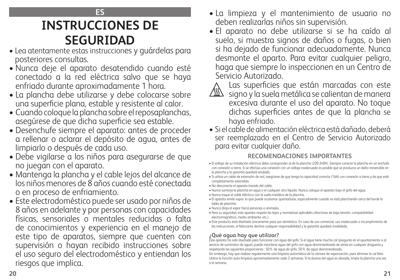#### **ES**

# **INSTRUCCIONES DE SEGURIDAD**

- Lea atentamente estas instrucciones y guárdelas para posteriores consultas.
- Nunca deje el aparato desatendido cuando esté conectado a la red eléctrica salvo que se haya enfriado durante aproximadamente 1 hora.
- La plancha debe utilizarse y debe colocarse sobre una superficie plana, estable y resistente al calor.
- Cuando coloque la plancha sobre el reposaplanchas, asegúrese de que dicha superficie sea estable.
- Desenchufe siempre el aparato: antes de proceder a rellenar o aclarar el depósito de agua, antes de limpiarlo o después de cada uso.
- Debe vigilarse a los niños para asegurarse de que no juegan con el aparato.
- Mantenga la plancha y el cable lejos del alcance de los niños menores de 8 años cuando esté conectada o en proceso de enfriamiento.
- Este electrodoméstico puede ser usado por niños de 8 años en adelante y por personas con capacidades físicas, sensoriales o mentales reducidas o falta de conocimientos y experiencia en el manejo de este tipo de aparatos, siempre que cuenten con supervisión o hayan recibido instrucciones sobre el uso seguro del electrodoméstico y entiendan los riesgos que implica.
- La limpieza y el mantenimiento de usuario no deben realizarlas niños sin supervisión.
- El aparato no debe utilizarse si se ha caído al suelo, si muestra signos de daños o fugas, o bien si ha dejado de funcionar adecuadamente. Nunca desmonte el aparto. Para evitar cualquier peligro, haga que siempre lo inspeccionen en un Centro de Servicio Autorizado.



Las superficies que están marcadas con este

- ⚠ signo y la suela metálica se calientan de manera excesiva durante el uso del aparato. No toque dichas superficies antes de que la plancha se haya enfriado.
- Si el cable de alimentación eléctrica está dañado, deberá ser reemplazado en el Centro de Servicio Autorizado para evitar cualquier daño.

#### **RECOMENDACIONES IMPORTANTES**

- El voltaje de su instalación eléctrica debe corresponder al de la plancha (220-240V). Siempre conecte la plancha en un enchufe con conexión a tierra. Si se efectúa una conexión con un voltaje inadecuado es posible que se produzca un daño irreversible en la plancha y la garantía quedará anulada.
- Si utiliza un cable de extensión de red, asegúrese de que tenga la capacidad correcta (16A) con conexión a tierra y de que esté completamente extendido.
- No desconecte el aparato tirando del cable.
- Nunca sumerja la plancha en agua o el cualquier otro líquido. Nunca coloque el aparato bajo el grifo del agua.
- Nunca toque el cable eléctrico con la suela metálica de la plancha.
- El aparato emite vapor, lo que puede ocasionar quemaduras, especialmente cuando se está planchando cerca del borde la tabla de planchar.
- Nunca dirija el vapor hacia personas o animales.
- Para su seguridad, este aparato respeta las leyes y normativas aplicables (directivas de baja tensión, compatibilidad electromagnética, medio ambiente, etc.).
- Este producto está diseñado únicamente para uso doméstico. En caso de uso comercial, uso inadecuado o incumplimiento de las instrucciones, el fabricante declina cualquier responsabilidad y la garantía quedará invalidada.

### **¿Qué agua hay que utilizar?**

Este aparato ha sido diseñado para funcionar con agua del grifo. Si el agua tiene mucha cal (pregunte en el ayuntamiento o al servicio de suministro de agua), puede mezclarse agua del grifo con agua desmineralizada de venta en cualquier droguería y respetando las siguientes proporciones : 50% de agua de grifo, 50% de agua desmineralizada.

Sin embargo, hay que realizar regularmente una limpieza automática de la cámara de vaporización, para eliminar la cal libre. Utilice la función auto-limpieza aproximadamente cada 2 semanas. Si la dureza del agua es elevada, limpie la plancha una vez a la semana.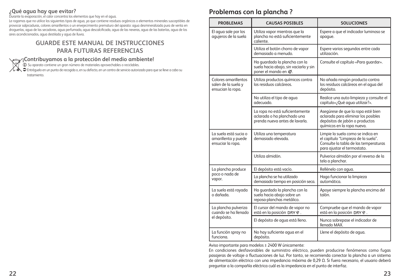#### **¿Qué agua hay que evitar?**

Durante la evaporación, el calor concentra los elementos que hay en el agua.

Le rogamos que no utilice los siguientes tipos de agua, ya que contiene residuos orgánicos o elementos minerales susceptibles de provocar salpicaduras, colores amarillentos o un envejecimiento prematuro del aparato: agua desmineralizada pura de venta en droguerías, agua de las secadoras, agua perfumada, agua descalcificada, agua de las neveras, agua de las baterías, agua de los aires acondicionados, agua destilada y agua de lluvia.

#### **GUARDE ESTE MANUAL DE INSTRUCCIONES PARA FUTURAS REFERENCIAS**

#### **¡Contribuyamos a la protección del medio ambiente!**

 $\bigcirc$  Su aparato contiene un gran número de materiales aprovechables o reciclables.

Entréguelo en un punto de recogida o, en su defecto, en un centro de servicio autorizado para que se lleve a cabo su tratamiento.

### **Problemas con la plancha ?**

| <b>PROBLEMAS</b>                                                  | <b>CAUSAS POSIBLES</b>                                                                           | <b>SOLUCIONES</b>                                                                                                                                |
|-------------------------------------------------------------------|--------------------------------------------------------------------------------------------------|--------------------------------------------------------------------------------------------------------------------------------------------------|
| El aqua sale por los<br>aquieros de la suela                      | Utiliza vapor mientras que la<br>plancha no está suficientemente<br>caliente.                    | Espere a que el indicador luminoso se<br>apaque.                                                                                                 |
|                                                                   | Utiliza el botón chorro de vapor<br>demasiado a menudo.                                          | Espere varios segundos entre cada<br>utilización.                                                                                                |
|                                                                   | Ha guardado la plancha con la<br>suela hacia abajo, sin vaciarla y sin<br>poner el mando en «.   | Consulte el capítulo «Para quardar».                                                                                                             |
| Colores amarillentos<br>salen de la suela y<br>ensucian la ropa.  | Utiliza productos químicos contra<br>los residuos calcáreos.                                     | No añada ningún producto contra<br>los residuos calcáreos en el aqua del<br>depósito.                                                            |
|                                                                   | No utiliza el tipo de agua<br>adecuado.                                                          | Realice una auto-limpieza y consulte el<br>capítulo»; Qué aqua utilizar?».                                                                       |
|                                                                   | La ropa no está suficientemente<br>aclarada o ha planchado una<br>prenda nueva antes de lavarla. | Asegúrese de que la ropa esté bien<br>aclarada para eliminar los posibles<br>depósitos de jabón o productos<br>químicos en la ropa nueva.        |
| La suela está sucia o<br>amarillenta y puede<br>ensuciar la ropa. | Utiliza una temperatura<br>demasiado elevada.                                                    | Limpie la suela como se indica en<br>el capítulo "Limpieza de la suela".<br>Consulte la tabla de las temperaturas<br>para ajustar el termostato. |
|                                                                   | Utiliza almidón.                                                                                 | Pulverice almidón por el reverso de la<br>tela a planchar.                                                                                       |
| La plancha produce                                                | El depósito está vacío.                                                                          | Rellénelo con aqua.                                                                                                                              |
| poco o nada de<br>vapor.                                          | La plancha se ha utilizado<br>demasiado tiempo en posición seca.                                 | Haga funcionar la limpieza<br>automática.                                                                                                        |
| La suela está rayada<br>o dañada.                                 | Ha guardado la plancha con la<br>suela hacia abajo sobre un<br>reposa-planchas metálico.         | Apoye siempre la plancha encima del<br>talón.                                                                                                    |
| La plancha pulveriza<br>cuando se ha llenado<br>el depósito.      | El cursor del mando de vapor no<br>está en la posición DRY 命.                                    | Compruebe que el mando de vapor<br>está en la posición DRY &.                                                                                    |
|                                                                   | El depósito de aqua está lleno.                                                                  | Nunca sobrepase el indicador de<br>llengdo MAX.                                                                                                  |
| La función spray no<br>funciona.                                  | No hay suficiente agua en el<br>depósito.                                                        | Llene el depósito de aqua.                                                                                                                       |

Aviso importante para modelos ≥ 2400 W únicamente:

En condiciones desfavorables de suministro eléctrico, pueden producirse fenómenos como fugas pasajeras de voltaje o fluctuaciones de luz. Por tanto, se recomienda conectar la plancha a un sistema de alimentación eléctrico con una impedancia máxima de 0,29 Ω. Si fuera necesario, el usuario deberá preguntar a la compañía eléctrica cuál es la impedancia en el punto de interfaz.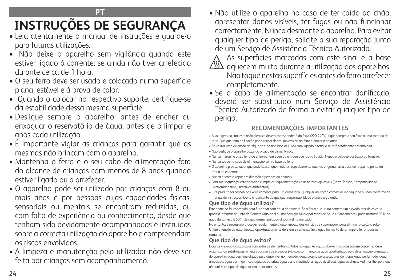### **PT**

# **INSTRUÇÕES DE SEGURANÇA**

- Leia atentamente o manual de instruções e guarde-o para futuras utilizações.
- Não deixe o aparelho sem vigilância quando este estiver ligado à corrente; se ainda não tiver arrefecido durante cerca de 1 hora.
- O seu ferro deve ser usado e colocado numa superfície plana, estável e à prova de calor.
- Quando o colocar no respectivo suporte, certifique-se da estabilidade dessa mesma superfície.
- Desligue sempre o aparelho: antes de encher ou enxaguar o reservatório de água, antes de o limpar e após cada utilização.
- É importante vigiar as crianças para garantir que as mesmas não brincam com o aparelho.
- Mantenha o ferro e o seu cabo de alimentação fora do alcance de crianças com menos de 8 anos quando estiver ligado ou a arrefecer.
- O aparelho pode ser utilizado por crianças com 8 ou mais anos e por pessoas cujas capacidades físicas, sensoriais ou mentais se encontram reduzidas, ou com falta de experiência ou conhecimento, desde que tenham sido devidamente acompanhadas e instruídas sobre a correcta utilização do aparelho e compreendam os riscos envolvidos.
- A limpeza e manutenção pelo utilizador não deve ser feita por crianças sem acompanhamento.

• Não utilize o aparelho no caso de ter caído ao chão, apresentar danos visíveis, ter fugas ou não funcionar correctamente. Nunca desmonte o aparelho. Para evitar qualquer tipo de perigo, solicite a sua reparação junto de um Serviço de Assistência Técnica Autorizado.



- As superfícies marcadas com este sinal e a base  $\sqrt{\text{\tiny{M}}\text{\tiny{M}}}$  aquecem muito durante a utilização dos aparelhos.
	- Não toque nestas superfícies antes do ferro arrefecer completamente.
- Se o cabo de alimentação se encontrar danificado, deverá ser substituído num Serviço de Assistência Técnica Autorizado de forma a evitar qualquer tipo de perigo.

# **RECOMENDAÇÕES IMPORTANTES**

- A voltagem da sua instalação eléctrica deverá corresponder à do ferro (220-240V). Ligue sempre o seu ferro a uma tomada de terra. Qualquer erro de ligação pode causar danos irreversíveis ao ferro e anular a garantia.
- Se utilizar uma extensão, verifique se é do tipo bipolar (16A) com ligação à terra, e se está totalmente desenrolada.
- Não desligue o aparelho puxando o cabo de alimentação.
- Nunca mergulhe o seu ferro de engomar em água ou em qualquer outro líquido. Nunca o coloque por baixo da torneira.
- Nunca toque no cabo de alimentação com a base do ferro.
- O aparelho produz vapor que pode causar queimaduras, especialmente quando engomar uma peça de roupa na ponta da tábua de engomar.
- Nunca oriente o vapor em direcção a pessoas ou animais.
- Para sua segurança, este aparelho cumpre as regulamentações e as normas aplicáveis (Baixa Tensão, Compatibilidade Electromagnética, Directivas Ambientais).
- Este produto foi concebido exclusivamente para uso doméstico. Qualquer utilização comercial, inadequada ou não conforme ao manual de instruções liberta o fabricante de qualquer responsabilidade e anula a garantia.

#### **Que tipo de água utilizar?**

Este aparelho foi concebido para funcionar com água da torneira. Se a água que utiliza contém um elevado teor de calcário (poderá informar-se junto da Câmara Municipal ou nos Serviços Municipalizados de Água e Saneamento), pode misturar 50% de água da torneira e 50% de água desmineralizada disponível no mercado.

No entanto, é necessário proceder regularmente à auto-limpeza dos orifícios de vaporização, para eliminar o calcário solto. Utilize a função de auto-limpeza aproximadamente de 2 em 2 semanas. Se a água for muito dura, limpe o ferro todas as semanas

### **Que tipo de água evitar?**

Durante a evaporação, o calor concentra os elementos contidos na água. As águas abaixo indicadas podem conter resíduos orgânicos ou substâncias minerais passíveis de provocar salpicos, corrimento de água acastanhada ou a deterioração prematura do aparelho: água desmineralizada pura disponível no mercado, água própria para secadores de roupa, água perfumada, água amaciada, água dos frigoríficos, água de baterias, água dos climatizadores, água destilada, água da chuva. Pedimos-lhe, pois, que não utilize os tipos de água acima mencionados.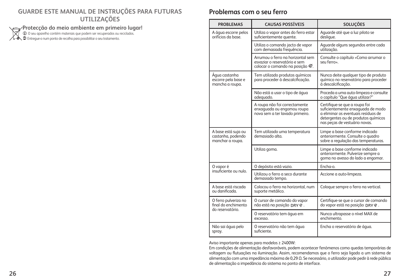#### **GUARDE ESTE MANUAL DE INSTRUÇÕES PARA FUTURAS UTILIZAÇÕES**

**Protecção do meio ambiente em primeiro lugar!**<br>© 0 seu aparelho contém materiais que podem ser recuperados ou reciclados.<br>© Entregue-o num ponto de recolha para possibilitar o seu tratamento.

### **Problemas com o seu ferro**

| <b>PROBLEMAS</b>                                                | <b>CAUSAS POSSÍVEIS</b>                                                                                               | <b>SOLUÇÕES</b>                                                                                                                                                                   |
|-----------------------------------------------------------------|-----------------------------------------------------------------------------------------------------------------------|-----------------------------------------------------------------------------------------------------------------------------------------------------------------------------------|
| A água escorre pelos<br>orifícios da base                       | Utiliza o vapor antes do ferro estar<br>suficientemente quente.                                                       | Aquarde até que a luz piloto se<br>desligue.                                                                                                                                      |
|                                                                 | Utiliza o comando jacto de vapor<br>com demasiada frequência.                                                         | Aguarde alguns segundos entre cada<br>utilização.                                                                                                                                 |
|                                                                 | Arrumou o ferro na horizontal sem<br>esvaziar o reservatório e sem<br>colocar o comando na posição $\frac{200}{20}$ . | Consulte o capítulo «Como arrumar o<br>seu ferro».                                                                                                                                |
| Água castanha<br>escorre pela base e<br>mancha a roupa.         | Tem utilizado produtos químicos<br>para proceder à descalcificação.                                                   | Nunca deite qualquer tipo de produto<br>químico no reservatório para proceder<br>à descalcificação.                                                                               |
|                                                                 | Não está a usar o tipo de áqua<br>adequado.                                                                           | Proceda a uma auto-limpeza e consulte<br>o capítulo "Que áqua utilizar?"                                                                                                          |
|                                                                 | A roupa não foi correctamente<br>enxaguada ou engomou roupa<br>nova sem a ter lavado primeiro.                        | Certifique-se que a roupa foi<br>suficientemente enxaguada de modo<br>a eliminar os eventuais resíduos de<br>detergentes ou de produtos químicos<br>nas peças de vestuário novas. |
| A base está suja ou<br>castanha, podendo<br>manchar a roupa.    | Tem utilizado uma temperatura<br>demasiado alta                                                                       | Limpe a base conforme indicado<br>anteriormente. Consulte o quadro<br>sobre a regulação das temperaturas.                                                                         |
|                                                                 | Utiliza goma.                                                                                                         | Limpe a base conforme indicado<br>anteriormente. Pulverize sempre a<br>goma no avesso do lado a engomar.                                                                          |
| O vapor é                                                       | O depósito está vazio.                                                                                                | Encha-o.                                                                                                                                                                          |
| insuficiente ou nulo.                                           | Utilizou o ferro a seco durante<br>demasiado tempo.                                                                   | Accione a auto-limpeza.                                                                                                                                                           |
| A base está riscada<br>ou danificada.                           | Colocou o ferro na horizontal, num<br>suporte metálico.                                                               | Coloque sempre o ferro na vertical.                                                                                                                                               |
| O ferro pulveriza no<br>final do enchimento<br>do reservatório. | O cursor de comando do vapor<br>não está na posição DRY 命.                                                            | Certifique-se que o cursor de comando<br>do vapor está na posição DRY 命.                                                                                                          |
|                                                                 | O reservatório tem água em<br>excesso.                                                                                | Nunca ultrapasse o nível MAX de<br>enchimento.                                                                                                                                    |
| Não sai água pelo<br>spray.                                     | O reservatório não tem água<br>suficiente.                                                                            | Encha o reservatório de água.                                                                                                                                                     |

Aviso importante apenas para modelos ≥ 2400W:

Em condições de alimentação desfavoráveis, podem acontecer fenómenos como quedas temporárias de voltagem ou flutuações na iluminação. Assim, recomendamos que o ferro seja ligado a um sistema de alimentação com uma impedância máxima de 0,29 Ω. Se necessário, o utilizador pode pedir à rede pública de alimentação a impedância do sistema no ponto de interface.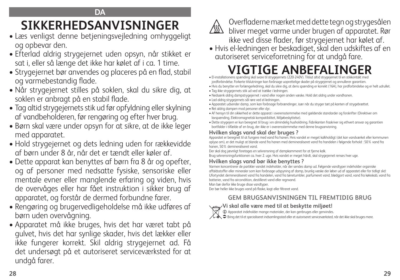# **DA**

# **SIKKERHEDSANVISNINGER**

- Læs venligst denne betjeningsvejledning omhyggeligt og opbevar den.
- Efterlad aldrig strygejernet uden opsyn, når stikket er sat i, eller så længe det ikke har kølet af i ca. 1 time.
- Strygejernet bør anvendes og placeres på en flad, stabil og varmebestandig flade.
- Når strygejernet stilles på soklen, skal du sikre dig, at soklen er anbragt på en stabil flade.
- Tag altid strygejernets stik ud før opfyldning eller skylning af vandbeholderen, før rengøring og efter hver brug.
- Børn skal være under opsyn for at sikre, at de ikke leger med apparatet.
- Hold strygejernet og dets ledning uden for rækkevidde af børn under 8 år, når det er tændt eller køler af.
- Dette apparat kan benyttes af børn fra 8 år og opefter, og af personer med nedsatte fysiske, sensoriske eller mentale evner eller manglende erfaring og viden, hvis de overvåges eller har fået instruktion i sikker brug af apparatet, og forstår de dermed forbundne farer.
- Rengøring og brugervedligeholdelse må ikke udføres af børn uden overvågning.
- Apparatet må ikke bruges, hvis det har været tabt på gulvet, hvis det har synlige skader, hvis det lækker eller ikke fungerer korrekt. Skil aldrig strygejernet ad. Få det undersøgt på et autoriseret serviceværksted for at undgå farer.



Overfladerne mærket med dette tegn og strygesålen<br>In bliver meget varme under brugen af apparatet Rør bliver meget varme under brugen af apparatet. Rør ikke ved disse flader, før strygejernet har kølet af.

• Hvis el-ledningen er beskadiget, skal den udskiftes af en autoriseret serviceforretning for at undgå fare.

# **VIGTIGE ANBEFALINGER** • El-installationens spænding skal svare til strygejernets (220-240V). Tilslut altid strygejernet til en stikkontakt med

- jordforbindelse. Forkerte tilslutninger kan forårsage uoprettelige skader på strygejernet og annullerer garantien.
- Hvis du benytter en forlængerledning, skal du sikre dig, at dens spænding er korrekt (16A), har jordforbindelse og er helt udrullet.
- Tag ikke strygejernets stik ud ved at trække i ledningen.
- Nedsænk aldrig dampstrygejernet i vand eller nogen anden væske. Hold det aldrig under vandhanen.
- Lad aldrig strygejernets sål røre ved el-ledningen.
- Apparatet udsender damp, som kan forårsage forbrændinger, især når du stryger tæt på kanten af strygebrættet.
- Ret aldrig dampen mod personer eller dyr.
- Af hensyn til din sikkerhed er dette apparat i overensstemmelse med gældende standarder og forskrifter (Direktiver om lavspænding, Elektromagnetisk kompatibilitet, Miljøbeskyttelse).
- Dette strygejern er kun beregnet til brug i en almindelig husholdning. Fabrikanten fraskriver sig ethvert ansvar og garantien bortfalder i tilfælde af en brug, der ikke er i overensstemmelse med denne brugsanvisning.

### **Hvilken slags vand skal der bruges ?**

Apparatet er beregnet til at fungere med vand fra hanen. Hvis vandet er meget kalkholdigt (det kan vandværket eller kommunen oplyse om), er det muligt at blande vand fra hanen med demineraliseret vand fra handelen i følgende forhold : 50% vand fra hanen, 50% demineraliseret vand.

Der skal dog jævnligt foretages en selvrensning af dampkammeret for at fjerne kalk.

Brug selvrensningsfunktionen ca. hver 2. uge. Hvis vandet er meget hårdt, skal strygejernet renses hver uge.

### **Hvilken slags vand bør ikke benyttes ?**

Varmen koncentrerer de partikler vandet indeholder, når der sendes damp ud. Følgende vandtyper indeholder organiske affaldsstoffer eller mineraler som kan forårsage udspyning af damp, brunlig væske der løber ud af apparatet eller for tidligt slid: Ufortyndet demineraliseret vand fra handelen, vand fra tørretumbler, parfumeret vand, blødgjort vand, vand fra køleskab, vand fra batterier, vand fra aircondition, destilleret vand eller regnvand.

Man bør derfor ikke bruge disse vandtyper.

Der bør heller ikke bruges vand på flaske, kogt eller filtreret vand.

# **GEM BRUGSANVISNINGEN TIL FREMTIDIG BRUG**



**Vi skal alle være med til at beskytte miljøet!**

i Apparatet indeholder mange materialer, der kan genbruges eller genvindes.

 $\diagup$   $\Box$   $\Box$  Bring det til et specialiseret indsamlingssted eller et autoriseret serviceværksted, når det ikke skal bruges mere.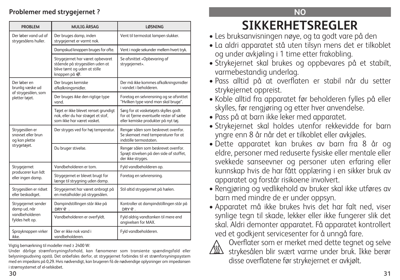# **Problemer med strygejernet ?**

| <b>PROBLEM</b>                                                           | MULIG ÅRSAG                                                                                                         | <b>LØSNING</b>                                                                                                         |
|--------------------------------------------------------------------------|---------------------------------------------------------------------------------------------------------------------|------------------------------------------------------------------------------------------------------------------------|
| Der løber vand ud af<br>strygesålens huller.                             | Der bruges damp, inden<br>strygejernet er varmt nok.                                                                | Vent til termostat lampen slukker.                                                                                     |
|                                                                          | Dampskud knappen bruges for ofte.                                                                                   | Vent i nogle sekunder mellem hvert tryk.                                                                               |
|                                                                          | Strygejernet har været opbevaret<br>stående på strygesålen uden at<br>blive tømt og uden at stille<br>knappen på «. | Se afsnittet «Opbevaring af<br>strygejernet».                                                                          |
| Der løber en<br>brunlig væske ud                                         | Der bruges kemiske<br>afkalkningsmidler.                                                                            | Der må ikke kommes afkalkningsmidler<br>i vandet i beholderen.                                                         |
| af strygesålen, som<br>pletter tøjet.                                    | Der bruges ikke den rigtige type<br>vand.                                                                           | Foretag en selvrensning og se afsnittet<br>"Hvilken type vand man skal bruge".                                         |
|                                                                          | Tøjet er ikke blevet renset grundigt<br>nok, eller du har strøget et stof,<br>som ikke har været vasket.            | Sørg for at vasketøjets skylles godt<br>for at fjerne eventuelle rester af sæbe<br>eller kemiske produkter på nyt tøj. |
| Strygesålen er<br>snavset eller brun<br>og kan plette<br>strygetøjet.    | Der stryges ved for høj temperatur.                                                                                 | Rengør sålen som beskrevet ovenfor.<br>Se skemaet med temperaturer for at<br>indstille termostaten.                    |
|                                                                          | Du bruger stivelse.                                                                                                 | Rengør sålen som beskrevet ovenfor.<br>Sprøjt stivelsen på den side af stoffet,<br>der ikke stryges.                   |
| Strygejernet                                                             | Vandbeholderen er tom.                                                                                              | Fyld vandbeholderen op.                                                                                                |
| producerer kun lidt<br>eller ingen damp.                                 | Strygejernet er blevet brugt for<br>længe til strygning uden damp.                                                  | Foretag en selvrensning.                                                                                               |
| Strygesålen er ridset<br>eller beskadiget.                               | Strygejernet har været anbragt på<br>en metalholder på strygesålen.                                                 | Stil altid strygejernet på hælen.                                                                                      |
| Strygejernet sender<br>damp ud, når<br>vandbeholderen<br>fyldes helt op. | Dampindstillingen står ikke på<br>DRY 金.                                                                            | Kontroller at dampindstillingen står på<br>DRY 命.                                                                      |
|                                                                          | Vandbeholderen er overfyldt.                                                                                        | Fyld aldrig vandtanken til mere end<br>angivelsen for MAX.                                                             |
| Sprayknappen virker<br>ikke.                                             | Der er ikke nok vand i<br>vandbeholderen.                                                                           | Fyld vandbeholderen.                                                                                                   |

Vigtig bemærkning til modeller med ≥ 2400 W:

Under dårlige strømforsyningsforhold, kan fænomener som transiente spændingsfald eller belysningsudsving opstå. Det anbefales derfor, at strygejernet forbindes til et strømforsyningssystem med en impedans på 0,29. Hvis nødvendigt, kan brugeren få de nødvendige oplysninger om impedansen i strømsystemet af el-selskabet.

# **NO**

# **SIKKERHETSREGLER**

- Les bruksanvisningen nøye, og ta godt vare på den
- La aldri apparatet stå uten tilsyn mens det er tilkoblet og under avkjøling i 1 time etter frakobling.
- Strykejernet skal brukes og oppbevares på et stabilt, varmebestandig underlag.
- Pass alltid på at overflaten er stabil når du setter strykejernet oppreist.
- Koble alltid fra apparatet før beholderen fylles på eller skylles, før rengjøring og etter hver anvendelse.
- Pass på at barn ikke leker med apparatet.
- Strykejernet skal holdes utenfor rekkevidde for barn yngre enn 8 år når det er tilkoblet eller avkjøles.
- Dette apparatet kan brukes av barn fra 8 år og eldre, personer med reduserte fysiske eller mentale eller svekkede sanseevner og personer uten erfaring eller kunnskap hvis de har fått opplæring i en sikker bruk av apparatet og forstår risikoene involvert.
- Rengjøring og vedlikehold av bruker skal ikke utføres av barn med mindre de er under oppsyn.
- Apparatet må ikke brukes hvis det har falt ned, viser synlige tegn til skade, lekker eller ikke fungerer slik det skal. Aldri demonter apparatet. Få apparatet kontrollert ved et godkjent servicesenter for å unngå fare.



Overflater som er merket med dette tegnet og selve<br>III strykesålen blir svært varme under bruk. Ikke berør strykesålen blir svært varme under bruk. Ikke berør disse overflatene før strykejernet er avkjølt.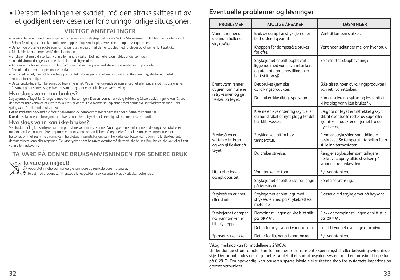### • Dersom ledningen er skadet, må den straks skiftes ut av et godkjent servicesenter for å unngå farlige situasjoner. **VIKTIGE ANBEFALINGER**

• Forsikre deg om at nettspenningen er den samme som strykejernets (220-240 V). Strykejernet må kobles til en jordet kontakt. Enhver feilaktig tilkobling kan forårsake uopprettelige skader på strykejernet og opphever garantien.

- Dersom du bruker en skjøteledning, må du forsikre deg om at den er topolet med jordleder og at den er fullt utstrakt.
- Ikke koble fra apparatet ved å dra i ledningen.
- Strykejernet må aldri senkes i vann eller i andre væsker. Det må heller aldri holdes under springen.
- La aldri strømledningen komme i kontakt med strykesålen.
- Apparatet gir fra seg damp som kan forårsake forbrenning, især ved stryking på kanten av strykebordet.
- Rett aldri dampen mot personer eller dyr.
- For din sikkerhet, overholder dette apparatet tekniske regler og gjeldende standarder (lavspenning, elektromagnetisk kompatibilitet, miljø).
- Dette produktet er kun beregnet på bruk i hjemmet. Ved enhver anvendelse som er uegnet eller strider mot instruksjonene, fraskriver produsenten seg ethvert ansvar, og garantien vil ikke lenger være gyldig.

#### **Hva slags vann kan brukes?**

Strykejernet er laget for å fungere med vann fra springen. Dersom vannet er veldig kalkholdig (disse opplysningene kan fås ved det kommunale vannverket eller teknisk etat) er det mulig å blande springvannet med demineralisert flaskevann med 1 del springvann, 1 del demineralisert vann.

Det er imidlertid nødvendig å foreta selvrensing av dampkammeret regelmessig for å fjerne kalkdannelser. Bruk den selvrensende funksjonen ca. hver 2. uke. Rens strykejernet ukentlig hvis vannet er svært hardt.

#### **Hva slags vann kan ikke brukes?**

Ved fordampning konsentrerer varmen partiklene som finnes i vannet. Vanntypene nedenfor inneholder organisk avfall eller mineralpartikler som kan føre til sprut eller brunt vann som gir flekker på tøyet eller for tidlig slitasje av strykejernet: vann fra tørketrommel, parfymert vann, vann fra bløtgjøringsinstallasjon, vann fra kjøleskap, batterivann, vann fra luftfukter, rent, demineralisert vann eller regnvann. De vanntypene som beskrives ovenfor må dermed ikke brukes. Bruk heller ikke kokt eller filtert vann eller flaskevann.

#### **TA VARE PÅ DENNE BRUKSANVISNINGEN FOR SENERE BRUK**

#### **Ta vare på miljøet!**

i Apparatet inneholder mange gjenvinnbare og resirkulerbare materialer.

 $\not\!\!\!\!\!\nearrow$   $\rightarrow$  Ta det med til et oppsamlingssted eller et godkjent servicesenter slik at avfallet kan behandles.

#### **Eventuelle problemer og løsninger**

| <b>PROBLEMER</b>                                                       | <b>MULIGE ÅRSAKER</b>                                                                                                      | <b>LØSNINGER</b>                                                                                                                           |
|------------------------------------------------------------------------|----------------------------------------------------------------------------------------------------------------------------|--------------------------------------------------------------------------------------------------------------------------------------------|
| Vannet renner ut<br>gjennom hullene i                                  | Bruk av damp før strykejernet er<br>blitt ordentlig varmt.                                                                 | Vent til lampen slukker.                                                                                                                   |
| strykesålen.                                                           | Knappen for dampstråle brukes<br>for ofte.                                                                                 | Vent noen sekunder mellom hver bruk.                                                                                                       |
|                                                                        | Strykejernet er blitt oppbevart<br>liggende med vann i vanntanken,<br>og uten at dampinnstillingen er<br>blitt stilt på «. | Se avsnittet «Oppbevaring».                                                                                                                |
| Brunt vann renner<br>ut gjennom hullene                                | Det brukes kjemiske<br>avkalkingsprodukter.                                                                                | Ikke tilsett noen avkalkingsprodukter i<br>vannet i vanntanken.                                                                            |
| i strykesålen og gir<br>flekker på tøyet.                              | Du bruker ikke riktig type vann.                                                                                           | Kjør en selvrensesyklus og les kapitlet<br>«Hva slag vann kan brukes?».                                                                    |
|                                                                        | Klærne er ikke ordentlig skylt, eller<br>du har strøket et nytt plagg før det<br>har blitt vasket.                         | Sørg for at tøyet er tilstrekkelig skylt<br>slik at eventuelle rester av såpe eller<br>kjemiske produkter er fjernet fra de<br>nye klærne. |
| Strykesålen er<br>skitten eller brun<br>og kan gi flekker på<br>tøyet. | Stryking ved altfor høy<br>temperatur.                                                                                     | Rengjør strykesålen som tidligere<br>beskrevet. Se temperaturtabellen for å<br>stille inn termostaten.                                     |
|                                                                        | Du bruker stivelse.                                                                                                        | Rengjør strykesålen som tidligere<br>beskrevet. Spray alltid stivelsen på<br>vrangen av strykesiden.                                       |
| Liten eller ingen                                                      | Vanntanken er tom.                                                                                                         | Fyll vanntanken.                                                                                                                           |
| dampkapasitet.                                                         | Strykejernet er blitt brukt for lenge<br>på tørrstryking.                                                                  | Foreta selvrensing.                                                                                                                        |
| Strykesålen er ripet<br>eller skadet.                                  | Strykejernet er blitt lagt med<br>strykesålen ned på strykebrettets<br>metalldel.                                          | Plasser alltid strykejernet på høykant.                                                                                                    |
| Strykejernet damper<br>når vanntanken er                               | Dampinnstillingen er ikke blitt stilt<br>på DRY 命.                                                                         | Sjekk at dampinnstillingen er blitt stilt<br>på DRY 命.                                                                                     |
| blitt fylt opp.                                                        | Det er for mye vann i vanntanken.                                                                                          | La aldri vannet overstige max-nivå.                                                                                                        |
| Sprayen virker ikke.                                                   | Det er for lite vann i vanntanken.                                                                                         | Fyll vanntanken.                                                                                                                           |

Viktig merknad kun for modellene ≥ 2400W:

Under dårlige strømforhold, kan fenomener som transiente spenningsfall eller belysningssvingninger skje. Derfor anbefales det at jernet er koblet til et strømforsyningssystem med en maksimal impedans på 0,29 Ω. Om nødvendig, kan brukeren spørre lokale elektrisitetsselskap for systemets impedans på grensesnittpunktet.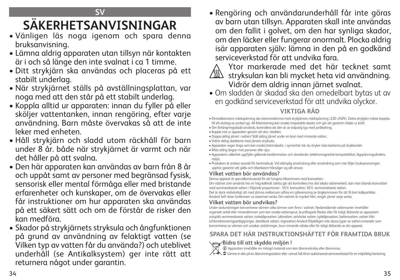# **SV**

# **SÄKERHETSANVISNINGAR**

- Vänligen läs noga igenom och spara denna bruksanvisning.
- Lämna aldrig apparaten utan tillsyn när kontakten är i och så länge den inte svalnat i ca 1 timme.
- Ditt strykjärn ska användas och placeras på ett stabilt underlag.
- När strykjärnet ställs på avställningsplattan, var noga med att den står på ett stabilt underlag.
- Koppla alltid ur apparaten: innan du fyller på eller sköljer vattentanken, innan rengöring, efter varje användning. Barn måste övervakas så att de inte leker med enheten.
- Håll strykjärn och sladd utom räckhåll för barn under 8 år. både när strykjärnet är varmt och när det håller på att svalna.
- Den här apparaten kan användas av barn från 8 år och uppåt samt av personer med begränsad fysisk, sensorisk eller mental förmåga eller med bristande erfarenheter och kunskaper, om de övervakas eller får instruktioner om hur apparaten ska användas på ett säkert sätt och om de förstår de risker den kan medföra.
- Skador på strykjärnets stryksula och ångfunktionen på grund av användning av felaktigt vatten (se Vilken typ av vatten får du använda?) och uteblivet underhåll (se Antikalksystem) ger inte rätt att returnera något under garantin.

• Rengöring och användarunderhåll får inte göras av barn utan tillsyn. Apparaten skall inte användas om den fallit i golvet, om den har synliga skador, om den läcker eller fungerar onormalt. Plocka aldrig isär apparaten själv: lämna in den på en godkänd serviceverkstad för att undvika fara.



 Ytor markerade med det här tecknet samt  $\langle \!\! \textrm{ss}\!\! \rangle$  stryksulan kan bli mycket heta vid användning. Vidrör dem aldrig innan järnet svalnat.

• Om sladden är skadad ska den omedelbart bytas ut av en godkänd serviceverkstad för att undvika olyckor.

**VIKTIGA RÅD**

- Elinstallationens märkspänning ska överensstämma med strykjärnets märkspänning (220–240V). Detta strykjärn måste kopplas till ett eluttag av jordad typ. All felanslutning kan orsaka irreparabla skador och gör att garantin träder ur kraft.
- Om förlängningssladd används, kontrollera att den är av tvåpolig typ med jordledning.
- Koppla inte ur apparaten genom att dra i sladden.
- Doppa aldrig järnet i vatten! Ställ aldrig järnet under en kran med rinnande vatten.
- Vidrör aldrig sladdarna med järnets stryksula.
- Apparaten avger ånga som kan orsaka brännskador, i synnerhet när du stryker nära kanterna på strykbordet.
- Rikta aldrig ångan mot personer eller djur.
- Apparatens säkerhet uppfyller gällande bestämmelser och standarder (elektromagnetisk kompatibilitet, lågspänningsdirektiv, miliö).
- Produkten är endast avsedd för hemmabruk. Vid olämplig användning eller användning som inte följer bruksanvisningen, upphör garantin att gälla och tillverkaren frånsäger sig allt ansvar.

### **Vilket vatten bör användas?**

Denna apparat är specialkonstruerad för att fungera tillsammans med kranvatten.

Om vattnet som används har en hög kalkhalt (detta går att kontrollera hos det lokala vattenverket), kan man blanda kranvatten med avmineraliserat vatten i följande proportioner : 50% kranvatten, 50% avmineraliserat vatten.

Det är dock nödvändigt att med jämna mellanrum utföra en självrensning av ångkammaren för att få bort kalkpartiklar. Använd Self clean funktionen ca varannan vecka. Om vattnet är mycket hårt, rengör järnet varje vecka.

### **Vilket vatten bör undvikas?**

Under avdunstningen koncentrerar värmen olika ämnen som finns i vattnet. Nedanstående vattensorter innehåller organiskt avfall eller mineralämnen som kan orsaka vattensprut, brunfärgade fläckar eller för tidigt åldrande av apparaten: outspätt avmineraliserat vatten, torkskåpsvatten, luktvatten, avhärdat vatten, kylskåpsvatten, batterivatten, vatten från luftkonditioneringsanläggningar, destillerat vatten, regnvatten.Använd följaktligen inte dessa typer av vatten.mineraler som koncentreras av värmen och orsakar utstötningar, brun rinnande vätska eller för tidigt åldrande av din apparat.

# **SPARA DET HÄR INSTRUKTIONSHÄFTET FÖR FRAMTIDA BRUK**

### **Bidra till att skydda miljön !**

i Apparaten innehåller en mängd material som kan återanvändas eller återvinnas.

 $\diagup\rightarrow$   $\spadesuit$  Lämna in den på en återvinningsstation eller i annat fall till en auktoriserad serviceverkstad för en miljöriktig hantering.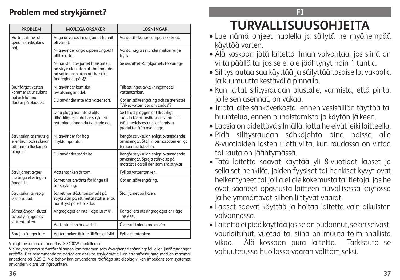# **Problem med strykjärnet?**

| <b>PROBLEM</b>                                                                       | <b>MÖJLIGA ORSAKER</b>                                                                                                                             | LÖSNINGAR                                                                                                                                  |
|--------------------------------------------------------------------------------------|----------------------------------------------------------------------------------------------------------------------------------------------------|--------------------------------------------------------------------------------------------------------------------------------------------|
| Vattnet rinner ut<br>genom stryksulans                                               | Ånga används innan järnet hunnit<br>bli varmt.                                                                                                     | Vänta tills kontrollampan slocknat.                                                                                                        |
| hål.                                                                                 | Ni använder ångknappen ångpuff<br>alltför ofta.                                                                                                    | Vänta några sekunder mellan varje<br>tryck.                                                                                                |
|                                                                                      | Ni har ställt av järnet horisontellt<br>på stryksulan utan att ha tömt det<br>på vatten och utan att ha ställt<br>ångreglaget på $\frac{20}{10}$ . | Se avsnittet «Strykjärnets förvaring».                                                                                                     |
| Brunfärgat vatten<br>kommer ut ur sulans                                             | Ni använder kemiska<br>avkalkningsmedel.                                                                                                           | Tillsätt inget avkalkningsmedel i<br>vattentanken.                                                                                         |
| hảl och lämnar<br>fläckar på plagget.                                                | Du använder inte rätt vattensort.                                                                                                                  | Gör en självrengöring och se avsnittet<br>"Vilket vatten bör användas"?                                                                    |
|                                                                                      | Dina plagg har inte sköljts<br>tillräckligt eller du har strykt ett<br>nytt plagg innan du tvättade det.                                           | Se till att plaggen är tillräckligt<br>sköljda för att avlägsna eventuella<br>tvättmedelsrester eller kemiska<br>produkter från nya plagg. |
| Stryksulan är smutsig<br>eller brun och riskerar<br>att lämna fläckar på<br>plagget. | Ni använder för hög<br>stryktemperatur.                                                                                                            | Rengör stryksulan enligt ovanstående<br>anvisningar. Ställ in termostaten enligt<br>temperaturtabellen.                                    |
|                                                                                      | Du använder stärkelse.                                                                                                                             | Rengör stryksulan enligt ovanstående<br>anvisningar. Spreja stärkelse på<br>motsatt sida till den som ska strykas.                         |
| Strykjärnet avger                                                                    | Vattentanken är tom.                                                                                                                               | Fyll på vattentanken.                                                                                                                      |
| lite ånga eller ingen<br>ånga alls.                                                  | Järnet har använts för länge till<br>torrstrykning.                                                                                                | Gör en självrengöring.                                                                                                                     |
| Stryksulan är repig<br>eller skadad.                                                 | Järnet har stått horisontellt på<br>stryksulan på ett metallställ eller du<br>har strykt på ett blixtlås.                                          | Ställ järnet på hälen.                                                                                                                     |
| Järnet ångar i slutet<br>av påfyllningen av                                          | Ångreglaget är inte i läge DRY �� .                                                                                                                | Kontrollera att ångreglaget är i läge<br>DRY 金.                                                                                            |
| vattentanken.                                                                        | Vattentanken är överfull.                                                                                                                          | Överskrid aldrig maxnivån.                                                                                                                 |
| Sprejen funger inte.                                                                 | Vattentanken är inte tillräckligt fylld.                                                                                                           | Fyll vattentanken.                                                                                                                         |

Viktigt meddelande för endast ≥ 2400W-modellerna:

Vid ogynnsamma strömförhållanden kan fenomen som övergående spänningsfall eller ljusförändringar inträffa. Det rekommenderas därför att ansluta strykjärnet till en strömförsörjning med en maximal impedans på 0,29 Ω. Vid behov kan användaren rådfråga sitt elbolag vilken impedans som systemet använder vid anslutningspunkten.

**FI**

# **TURVALLISUUSOHJEITA**

- Lue nämä ohjeet huolella ja säilytä ne myöhempää käyttöä varten.
- Älä koskaan jätä laitetta ilman valvontaa, jos siinä on virta päällä tai jos se ei ole jäähtynyt noin 1 tuntia.
- Silitysrautaa saa käyttää ja säilyttää tasaisella, vakaalla ja kuumuutta kestävällä pinnalla.
- Kun laitat silitysraudan alustalle, varmista, että pinta, jolle sen asennat, on vakaa.
- Irrota laite sähköverkosta ennen vesisäiliön täyttöä tai huuhtelua, ennen puhdistamista ja käytön jälkeen.
- Lapsia on pidettävä silmällä, jotta he eivät leiki laitteella.
- Pidä silitysraudan sähköjohto aina poissa alle 8-vuotiaiden lasten ulottuvilta, kun raudassa on virtaa tai rauta on jäähtymässä.
- Tätä laitetta saavat käyttää yli 8-vuotiaat lapset ja sellaiset henkilöt, joiden fyysiset tai henkiset kyvyt ovat heikentyneet tai joilla ei ole kokemusta tai tietoja, jos he ovat saaneet opastusta laitteen turvallisessa käytössä ja he ymmärtävät siihen liittyvät vaarat.
- Lapset saavat käyttää ja hoitaa laitetta vain aikuisten valvonnassa.
- Laitetta ei pidä käyttää jos se on pudonnut, se on selvästi vaurioitunut, vuotaa tai siinä on muuta toiminnallista vikaa. Älä koskaan pura laitetta. Tarkistuta se valtuutetussa huollossa vaaran välttämiseksi.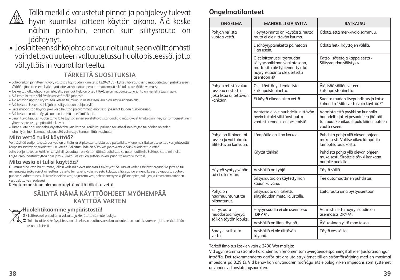

**Ongelmatilanteet** Tällä merkillä varustetut pinnat ja pohjalevy tulevat hyvin kuumiksi laitteen käytön aikana. Älä koske näihin pintoihin, ennen kuin silitysrauta on jäähtynyt.

• Jos laitteen sähköjohto on vaurioitunut, se on välittömästi vaihdettava uuteen valtuutetussa huoltopisteessä, jotta vältyttäisiin vaaratilanteelta.

### **TÄRKEITÄ SUOSITUKSIA**

- Sähköverkon jännitteen täytyy vastata silitysraudan jännitettä (220-240V). Kytke silitysrauta aina maadoitettuun pistokkeeseen. Väärään jännitteeseen kytkettynä laite voi vaurioitua peruuttamattomasti eikä takuu ole tällöin voimassa.
- Jos käytät jatkojohtoa, varmista, että sen luokittelu on oikea (16A), se on maadoitettu ja johto on kierretty täysin auki.
- Älä irrota laitetta sähköverkosta vetämällä johdosta.
- Älä koskaan upota silitysrautaa veteen tai muuhun nesteeseen. Älä pidä sitä vesihanan alla.
- Älä koskaan kosketa sähköjohtoa silitysraudan pohjalevyllä.
- Laite muodostaa höyryä, joka voi aiheuttaa palovammoja erityisesti, jos silität laudan nurkkaosassa.
- Älä koskaan osoita höyryä suoraan ihmisiä tai eläimiä kohti.
- Sinun turvallisuutesi vuoksi tämä laite täyttää siihen sovellettavat standardit ja määräykset (matalajännite-, sähkömagneettinen yhteensopivuus-, ympäristödirektiivit).
- Tämä tuote on suunniteltu käytettäväksi vain kotona. Kaikki kaupallinen tai virheellinen käyttö tai näiden ohjeiden laiminlyöminen kumoaa takuun, eikä valmistaja kanna mitään vastuuta.

#### **Mitä vettä tulisi käyttää?**

Voit käyttää vesijohtovettä. Jos vesi on erittäin kalkkipitoista (tarkista asia paikallisilta viranomaisilta),voit sekoittaa vesijohtovettä kaupasta saatavaan suodatettuun veteen. Sekoitussuhde on 50% vesijohtovettä ja 50% suodatettua vettä. Jotta vesijohtoveden kalkki ei kertyisi silitysrautaan, on välttämätöntä puhdistaa se automaattisella kalkinpoistotoiminnolla. Käytä itsepuhdistuskäyttöä noin joka 2. viikko. Jos vesi on erittäin kovaa, puhdista rauta viikoittain.

#### **Mitä vesiä ei tulisi käyttää?**

Kuumuus aiheuttaa haihtumista, jolloin vedessä olevat mineraalit tiivistyvät. Seuraavat vedet sisältävät orgaanisia jätteitä tai mineraaleja, jotka voivat aiheuttaa roiskeita tai ruskeita valumia sekä kuluttaa silitysrautaa ennenaikaisesti : kaupasta saatava puhdas suodatettu vesi, kuivauskoneiden vesi, hajustettu vesi, pehmennetty vesi, jääkaappien, akkujen ja ilmastointilaitteiden vesi, tislattu vesi, sadevesi.

Kehotamme sinua olemaan käyttämättä tällaista vettä.

# **SÄILYTÄ NÄMÄ KÄYTTÖOHJEET MYÖHEMPÄÄ KÄYTTÖÄ VARTEN**

#### **Huolehtikaamme ympäristöstä!**

i Laitteessasi on paljon arvokkaita ja kierrätettäviä materiaaleja.

 Toimita laitteesi keräyspisteeseen tai sellaisen puuttuessa vaikka valtuutettuun huoltokeskukseen, jotta se käsitellään asianmukaisesti.

| <b>ONGELMA</b>                                                          | <b>MAHDOLLISIA SYITÄ</b>                                                                                                                       | <b>RATKAISU</b>                                                                                                                   |
|-------------------------------------------------------------------------|------------------------------------------------------------------------------------------------------------------------------------------------|-----------------------------------------------------------------------------------------------------------------------------------|
| Pohjan rei'istä<br>vuotaa vettä.                                        | Höyrytoiminto on käytössä, mutta<br>rauta ei ole riittävän kuuma.                                                                              | Odota, että merkkivalo sammuu.                                                                                                    |
|                                                                         | Lisähöyrypainiketta painetaan<br>lijan usein.                                                                                                  | Odota hetki käyttöjen välillä.                                                                                                    |
|                                                                         | Olet laittanut silitysraudan<br>säilytyspaikkaan vaakatasoon,<br>mutta sitä ole tyhjennetty eikä<br>höyrynsäädintä ole asetettu<br>asentoon «. | Katso lisätietoja kappaleesta «<br>Silitysraudan säilytys »                                                                       |
| Pohjan rei'istä valuu<br>ruskeaa nestettä.                              | Olet käyttänyt kemiallista<br>kalkinpoistoainetta.                                                                                             | Älä lisää säiliön veteen<br>kalkinpoistoainetta.                                                                                  |
| joka likaa silitettävän<br>kankaan.                                     | Et käytä oikeanlaista vettä.                                                                                                                   | Suorita raudan itsepuhdistus ja katso<br>kohdasta "Mitä vettä voin käyttää?"                                                      |
|                                                                         | Vaatetta ei ole huuhdeltu riittävän<br>hyvin tai olet silittänyt uutta<br>vaatetta ennen sen pesemistä.                                        | Varmista että pyykki on kunnolla<br>huuhdeltu jottei pesuaineen jäämät<br>tai muut kemikaalit pala kiiinni uuteen<br>vaatteeseen. |
| Pohja on likainen tai<br>ruskea ja voi tahrata<br>silitettävän kankaan. | Lämpötila on liian korkea.                                                                                                                     | Puhdista pohja yllä olevan ohjeen<br>mukaisesti. Valitse oikea lämpötila<br>lämpötilataulukosta.                                  |
|                                                                         | Käytät tärkkiä                                                                                                                                 | Puhdista pohja yllä olevan ohjeen<br>mukaisesti. Sirottele tärkki kankaan<br>nurjalle puolelle.                                   |
| Höyryä syntyy vähän<br>tai ei ollenkaan.                                | Vesisäiliö on tyhjä.                                                                                                                           | Täytä säiliö.                                                                                                                     |
|                                                                         | Silitysrautaa on käytetty liian<br>kauan kuivana.                                                                                              | Tee automaattinen puhdistus.                                                                                                      |
| Pohja on<br>naarmuuntunut tai<br>pilaantunut.                           | Silitysrauta on laskettu<br>silityslaudan metallialustalle.                                                                                    | Laita rauta aina pystyasentoon.                                                                                                   |
| Silitysrauta<br>muodostaa höyryä                                        | Höyrynsäädin ei ole asennossa<br>DRY 金.                                                                                                        | Varmista, että höyrynsäädin on<br>asennossa DRY ®                                                                                 |
| säiliön täytön lopuksi.                                                 | Vesisäiliö on liian täynnä.                                                                                                                    | Älä koskaan ylitä max tasoa.                                                                                                      |
| Spray ei suihkuta<br>vettä                                              | Vesisäiliö ei ole riittävän<br>tävnnä.                                                                                                         | Täytä vesisäiliö                                                                                                                  |

#### Tärkeä ilmoitus koskien vain ≥ 2400 W:n malleja:

Vid ogynnsamma strömförhållanden kan fenomen som övergående spänningsfall eller ljusförändringar inträffa. Det rekommenderas därför att ansluta strykjärnet till en strömförsörjning med en maximal impedans på 0,29 Ω. Vid behov kan användaren rådfråga sitt elbolag vilken impedans som systemet använder vid anslutningspunkten.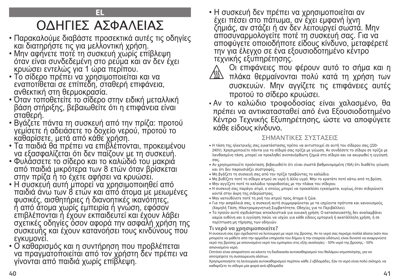# ΟΔΗΓΙΕΣ ΑΣΦΑΛΕΙΑΣ

**EL**

- Παρακαλούμε διαβάστε προσεκτικά αυτές τις οδηγίες και διατηρήστε τις για μελλοντική χρήση.
- Μην αφήνετε ποτέ τη συσκευή χωρίς επίβλεψη όταν είναι συνδεδεμένη στο ρεύμα και αν δεν έχει κρυώσει εντελώς για 1 ώρα περίπου.
- Το σίδερο πρέπει να χρησιμοποιείται και να εναποτίθεται σε επίπεδη, σταθερή επιφάνεια, ανθεκτική στη θερμοκρασία.
- Όταν τοποθετείτε το σίδερο στην ειδική μεταλλική βάση στήριξης, βεβαιωθείτε ότι η επιφάνεια είναι σταθερή.
- Βγάζετε πάντα τη συσκευή από την πρίζα: προτού γεμίσετε ή αδειάσετε το δοχείο νερού, προτού το καθαρίσετε, μετά από κάθε χρήση.
- Τα παιδιά θα πρέπει να επιβλέπονται, προκειμένου να εξασφαλίζεται ότι δεν παίζουν με τη συσκευή.
- Φυλάσσετε το σίδερο και το καλώδιό του μακριά από παιδιά μικρότερα των 8 ετών όταν βρίσκεται στην πρίζα ή το έχετε αφήσει να κρυώσει.
- Η συσκευή αυτή μπορεί να χρησιμοποιηθεί από παιδιά άνω των 8 ετών και από άτομα με μειωμένες φυσικές, αισθητήριες ή διανοητικές ικανότητες, ή από άτομα χωρίς εμπειρία ή γνώση, εφόσον επιβλέπονται ή έχουν εκπαιδευτεί και έχουν λάβει σχετικές οδηγίες όσον αφορά την ασφαλή χρήση της συσκευής και έχουν κατανοήσει τους κινδύνους που εγκυμονεί.
- Ο καθαρισμός και η συντήρηση που προβλέπεται να πραγματοποιείται από τον χρήστη δεν πρέπει να γίνονται από παιδιά χωρίς επίβλεψη.

• Η συσκευή δεν πρέπει να χρησιμοποιείται αν έχει πέσει στο πάτωμα, αν έχει εμφανή ίχνη ζημιάς, αν στάζει ή αν δεν λειτουργεί σωστά. Μην αποσυναρμολογείτε ποτέ τη συσκευή σας. Για να αποφύγετε οποιοδήποτε είδους κίνδυνο, μεταφέρετέ την για έλεγχο σε ένα εξουσιοδοτημένο κέντρο τεχνικής εξυπηρέτησης.



Οι επιφάνειες που φέρουν αυτό το σήμα και η

- πλάκα θερμαίνονται πολύ κατά τη χρήση των συσκευών. Μην αγγίζετε τις επιφάνειες αυτές προτού το σίδερο κρυώσει.
- Αν το καλώδιο τροφοδοσίας είναι χαλασμένο, θα πρέπει να αντικατασταθεί από ένα Εξουσιοδοτημένο Κέντρο Τεχνικής Εξυπηρέτησης, ώστε να αποφύγετε κάθε είδους κίνδυνο.

# ΣΗΜΑΝΤΙΚΕΣ ΣΥΣΤΑΣΕΙΣ

- Η τάση της ηλεκτρικής σας εγκατάστασης πρέπει να αντιστοιχεί σε αυτή του σίδερου σας (220- 240V). Χρησιμοποιείτε πάντα για το σίδερό σας πρίζα με γείωση. Αν συνδέσετε το σίδερο σε πρίζα με λανθασμένη τάση, μπορεί να προκληθεί ανεπανόρθωτη ζημιά στο σίδερο και να ακυρωθεί η εγγύησή σας.
- Αν χρησιμοποιείτε προέκταση, βεβαιωθείτε ότι είναι σωστά βαθμονομημένη (16A) ότι διαθέτει γείωση και ότι δεν παρουσιάζει συστροφές.
- Μη βγάζετε τη συσκευή σας από την πρίζα τραβώντας το καλώδιο.
- Μη βυθίζετε ποτέ το σίδερο ατμού σε νερό ή άλλο υγρό. Μην το κρατάτε ποτέ κάτω από τη βρύση.
- Μην αγγίζετε ποτέ το καλώδιο τροφοδοσίας με την πλάκα του σίδερου.
- Η συσκευή σας παράγει ατμό, ο οποίος μπορεί να προκαλέσει εγκαύματα, κυρίως όταν σιδερώνετε κοντά στην άκρη της σιδερώστρας.
- Μην κατευθύνετε ποτέ τη ροή του ατμού προς άτομα ή ζώα.
- Για την ασφάλειά σας, η συσκευή αυτή συμμορφώνεται με τα ισχύοντα πρότυπα και κανονισμούς (Χαμηλή Τάση, Ηλεκτρομαγνητική Συμβατότητα, Οδηγίες για το Περιβάλλον).
- Το προϊόν αυτό σχεδιάστηκε αποκλειστικά για οικιακή χρήση. Ο κατασκευαστής δεν αναλαμβάνει καμία ευθύνη και η εγγύηση παύει να ισχύει για κάθε είδους εμπορική ή ακατάλληλη χρήση, ή σε περίπτωση μη τήρησης των οδηγιών.

# **Τι νερό να χρησιμοποιείτε?**

Η συσκευή σας έχει σχεδιαστεί να λειτουργεί με νερό της βρύσης. Αν το νερό σας περιέχει πολλά άλατα (κάτι που μπορείτε να μάθετε από την αρμόδια υπηρεσία του δήμου ή την εταιρεία υδάτων), είναι δυνατό να αναμιγνύετε νερό της βρύσης με απιονισμένο νερό του εμπορίου στις εξής αναλογίες: - 50% νερό της βρύσης, - 50% απιονισμένο νερό.

Ωστόσο είναι απαραίτητο να κάνετε τη διαδικασία αυτοκαθαρισμού του θαλάμου ατμοποίησης, για να αποτρέψετε τη συσσώρευση αλάτων.

Χρησιμοποιήστε τη λειτουργία αυτοκαθαρισμού περίπου κάθε 2 εβδομάδες. Εάν το νερό είναι πολύ σκληρό, να καθαρίζετε το σίδερο μία φορά ανά εβδομάδα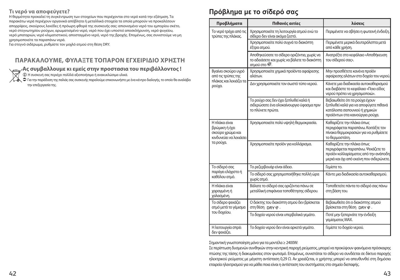#### **Τι νερό να αποφεύγετε?**

Η θερμότητα προκαλεί τη συγκέντρωση των στοιχείων που περιέχονται στο νερό κατά την εξάτμιση. Τα παρακάτω νερά περιέχουν οργανικά απόβλητα ή μεταλλικά στοιχεία τα οποία μπορούν να προκαλέσουν απορρίψεις, σκούρους λεκέδες ή πρόωρη φθορά της συσκευής σας: απιονισμένο νερό του εμπορίου σκέτο, νερό στεγνωτηρίου ρούχων, αρωματισμένο νερό, νερό που έχει υποστεί αποσκλήρυνση, νερό ψυγείου, νερό μπαταριών, νερό κλιματιστικού, αποσταγμένο νερό, νερό της βροχής. Επομένως, σας συνιστούμε να μη χρησιμοποιείτε τα παραπάνω νερά.

Για στεγνό σιδέρωμα, ρυθμίστε τον μοχλό ατμού στη θέση DRY.

#### **ΠΑΡΑΚΑΛΟΥΜΕ, ΦΥΛΑΞΤΕ ΤΟΠΑΡΟΝ ΕΓΧΕΙΡΙΔΙΟ ΧΡΗΣΤΗ**

**Aς συμβαλλουμε κι εμείς στην προστασια του περιβάλλοντος !**

 $\, \oplus \,$ Η συσκευή σας περιέχει πολλλά αξιοποιήσιμα ή ανακυκλώσιμα υλικά.<br>Φ Για την παράδοση της παλιάς σας συσκευής παραλούμε επικοινωνήστε με ένα κέντρο διαλογής, το οποίο θα αναλάβει την επεξεργασία της.

# **Πρόβλημα με το σίδερό σας**

| Προβλήματα                                                                                 | Πιθανές αιτίες                                                                                                          | λύσεις                                                                                                                                              |
|--------------------------------------------------------------------------------------------|-------------------------------------------------------------------------------------------------------------------------|-----------------------------------------------------------------------------------------------------------------------------------------------------|
| Το νερό τρέχει από τις<br>τρύπες της πλάκας.                                               | Χρησιμοποιείτε τη λειτουργία ατμού ενώ το<br>σίδερο δεν είναι ακόμα ζεστό.                                              | Περιμένετε να σβήσει η φωτεινή ένδειξη.                                                                                                             |
|                                                                                            | Χρησιμοποιείτε πολύ συχνά το διακόπτη<br>έξτρα ατμού.                                                                   | Περιμένετε μερικά δευτερόλεπτα μετά<br>από κάθε χρήση.                                                                                              |
|                                                                                            | Αποθηκεύσατε το σίδερο οριζόντια, χωρίς να<br>το αδειάσετε και χωρίς να βάλετε το διακόπτη<br>ατμού στο <sup>22</sup> . | Ανατρέξτε στο κεφάλαιο «Αποθήκευση<br>του σίδερού σας».                                                                                             |
| Βγαίνει σκούρο υγρό<br>από τις τρύπες της                                                  | Χρησιμοποιείτε χημικά προϊόντα αφαίρεσης<br>αλάτων.                                                                     | Μην προσθέτετε κανένα προϊόν<br>αφαίρεσης αλάτων στο δοχείο του νερού.                                                                              |
| πλάκας και λεκιάζει τα<br>ρούχα.                                                           | Δεν χρησιμοποιείτε τον σωστό τύπο νερού.                                                                                | Κάνετε μια διαδικασία αυτοκαθαρισμού<br>και διαβάστε το κεφάλαιο «Ποιο είδος<br>νερού πρέπει να χρησιμοποιώ».                                       |
|                                                                                            | Το ρούχο σας δεν έχει ξεπλυθεί καλά ή<br>σιδερώσατε ένα ολοκαίνουργιο ύφασμα πριν<br>το πλύνετε πρώτα.                  | Βεβαιωθείτε ότι τα ρούχα έχουν<br>ξεπλυθεί καλά για να αποφύγετε πιθανά<br>κατάλοιπα σαπουνιού ή χημικών<br>προϊόντων στα καινούργια ρούχα.         |
| Η πλάκα είναι<br>βρώμικη ή έχει<br>σκούρο χρώμα και<br>κινδυνεύει να λεκιάσει<br>τα ρούχα. | Χρησιμοποιείτε πολύ υψηλή θερμοκρασία.                                                                                  | Καθαρίζετε την πλάκα όπως<br>περιγράφεται παραπάνω. Κοιτάξτε τον<br>πίνακα θερμοκρασιών για να ρυθμίσετε<br>το θερμοστάτη.                          |
|                                                                                            | Χρησιμοποιείτε προϊόν για κολλάρισμα.                                                                                   | Καθαρίζετε την πλάκα όπως<br>περιγράφεται παραπάνω. Ψεκάζετε το<br>προϊόν κολλαρίσματος από την ανάποδη<br>μεριά και όχι από εκείνη που σιδερώνετε. |
| Το σίδερό σας                                                                              | Το ρεζερβουάρ είναι άδειο.                                                                                              | Γεμίστε το.                                                                                                                                         |
| παράγει ελάχιστο ή<br>καθόλου ατμό.                                                        | Το σίδερό σας χρησιμοποιήθηκε πολλή ώρα<br>χωρίς ατμό.                                                                  | Κάντε μια διαδικασία αυτοκαθαρισμού.                                                                                                                |
| Η πλάκα είναι<br>χαραγμένη ή<br>χαλασμένη.                                                 | Βάλατε το σίδερό σας οριζόντια πάνω σε<br>μεταλλική επιφάνεια τοποθέτησης σίδερου.                                      | Τοποθετείτε πάντα το σίδερό σας πάνω<br>στη βάση του.                                                                                               |
| Το σίδερο ψεκάζει<br>ατμό μετά το γέμισμα                                                  | Ο δείκτης του διακόπτη ατμού δεν βρίσκεται<br>στη θέση DRY @.                                                           | Βεβαιωθείτε ότι ο διακόπτης ατμού<br>βρίσκεται στη θέση DRY $\hat{w}$ .                                                                             |
| του δοχείου.                                                                               | Το δοχείο νερού είναι υπερβολικά γεμάτο.                                                                                | Ποτέ μην ξεπερνάτε την ένδειξη<br>γεμίσματος ΜΑΧ.                                                                                                   |
| Η λειτουργία σπρέι<br>δεν ψεκάζει.                                                         | Το δοχείο νερού δεν είναι αρκετά γεμάτο.                                                                                | Γεμίστε το δοχείο νερού.                                                                                                                            |

Σημαντική γνωστοποίηση μόνο για τα μοντέλα ≥ 2400W:

Σε περίπτωση δυσμενών συνθηκών στην κεντρική παροχή ρεύματος, μπορεί να προκύψουν φαινόμενα πρόσκαιρης πτώσης της τάσης ή διακυμάνσεις στον φωτισμό. Επομένως, συνιστάται το σίδερο να συνδέεται σε δίκτυο παροχής ηλεκτρικού ρεύματος με μέγιστη αντίσταση 0,29 Ω. Αν χρειάζεται, ο χρήστης μπορεί να απευθυνθεί στη δημόσια εταιρεία ηλεκτρισμού για να μάθει ποια είναι η αντίσταση του συστήματος στο σημείο διεπαφής.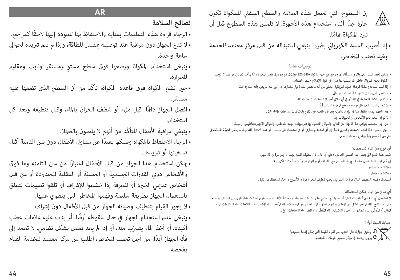إن السطوح التي تحمل هذه العالمة والسطح السفيل للمكواة تكون  $\sqrt{\frac{1}{2}}$ حارة جدًا أثناء استخدام هذه الأجهزة. لا تلمس هذه السطوح قبل أن تبرد المكواة تمامًا.

• إذا أصيب السلك الكهربايئ برضر، ينبغي استبداله من قبل مركز معتمد للخدمة بغية تجنب املخاطر.

#### **توصيات هامة**

- ينبغي لجهد التيار الكهربائي في منشأتك أن يتوافق مع جهد المكواة (240-220 فولت). قم بتوصيل قابس المكواة دامًا مأخذ كهربائي مؤرّض. إن توصيل المكواة بجهد كهربائي خاطئ قد يسبب لها ضررًا غير قابل للإصلاح ويبطل الضمان.
	- إذا كنت تستخدم سلكًا كوصلة مّديد كهربائية، تحقّق من أنه مخصص لشدّة تيار مقدارها 16 أمبر مع تأريض، وأنه ممدود مّامًا.
		- ّ ال تفصل الجهاز عن التيار بشد السلك الكهربايئ.
		- ال تغمر املكواة البخارية يف املاء أو يف أي سائل آخر. ال تضعه تحت حنفية املاء.
			- ً ال تلمس السلك الكهربايئ بواسطة سطح املكواة السفيل أبدا.
		- هذا الجهاز يصدر بخارًا، مما قد يؤدي للإصابة بحروق، خاصة حين تقوم بالكي قريبًا من حافة طاولة الكي.
			- لا توجّه البخار نحو الأشخاص أو الحيوانات أبدًا.
	- من أجل سلامتك، يتوافق هذا الجهاز مع المعاير واللوائح المعمول بها (توجيهات الجهد المنخفض، والتوافق الكهرومغناطيسي، والبيئة...).
- جرى تصميم هذا المنتج للاستخدام المنزلي فقط. إن أي استخدام تجاري، أو أي استخدام غير مناسب، أو عدم الامتثال للتعليمات، يجعل الشركة المصنّعة في حل من أية مسؤولية ويلغي مفعول الضمان.

**أي نوع من املاء تستعمل؟**

ُصمم هذا املنتج ليك يعمل مباء الصنبور العادي. وعىل أي حال، فإن تنظيف املنتج يجب أن يتم مرة يف كل شهر. إن كان الماء عندك ثقيل جدًّا، امزج ماء الصنبور مع الماء المقطر والمتوفر تجاريًّا بنسبة %50 لكل نوع - 50% ماء الصنبور

- 50% ماء مقطر

تُستعمل وظيفة التنظيف الذاتي مرة كل أسبوعين. يجب تنظيف المكواة مرة في الأسبوع في حال استعمال ماء ثقيل.

#### **أي نوع من املاء ميكن استعامله**

لا تستعمل أي نوع من أنواع الماء الوارد أدناه، والذي يحتوي على مخلفات عضوية أو معدنية، لأنه يتسبب بظهور لطخات بنيّة اللون على القماش أو يقصر من عمر المنتج: الماء المقطر الخالي من المعادن والمتوفر تجاريًّا، الماء الصادر عن المجففات، الماء المُخفف، ماء الثلاجات، ماء البطاريات، الماء المغلى أو المُصفّى، الماء الصادر عن أجهزة التكييف، الماء المُقطّر، ماء المطر، ماء الزجاجات، إلخ...

**ً حامية البيئة أوال!**

 يحتوي جهازك عىل العديد من املواد القيمة التي ميكن إعادة تصنيعها. يرجى إيداعه في مراكز تجميع المهملات المختصة. $\bullet$ 

### **AR**

# **نصائح السالمة**

- ً الرجاء قراءة هذه التعليامت بعناية واالحتفاظ بها للعودة إليها الحقا كمراجع.
- ال تدع الجهاز دون مراقبة عند توصيله مبصدر للطاقة، وإذا مل يتم تربيده لحوايل ساعة واحدة.
- ٍ ينبغي استخدام املكواة ووضعها فوق سطح مستو ومستقر وثابت ومقاوم للحرارة.
- حني تضع املكواة فوق قاعدة املكواة، تأكّد من أن السطح الذي تضعها عليه مستقر.
- افصل الجهاز دامئًا: قبل ملء أو شطف الخزان باملاء، وقبل تنظيفه وبعد كل استخدام.
	- ينبغي مراقبة الأطفال للتأكّد من أنهم لا يلعبون بالجهاز.
- ً الرجاء االحتفاظ باملكواة وسلكها بعيدا عن متناول األطفال دون سن الثامنة أثناء تسخينها أو تربيدها.
- ً ميكن استخدام هذا الجهاز من قبل األطفال اعتبارا من سن الثامنة وما فوق والأشخاص ذوي القدرات الجسدية أو الحسيّة أو العقلية المحدودة أو من قبل<br>. أشخاص عدمي الخبرة أو المعرفة إذا خضعوا للإشراف أو تلقوا تعليمات تتعلق باستعمال الجهاز بطريقة سليمة وفهموا المخاطر التي ينطوي عليها.
	- لا يجور القيام بتنظيف وصيانة الجهاز من قبل الأطفال دون إشراف.
- ً ينبغي عدم استخدام الجهاز يف حال سقوطه أرضا، أو بدت عليه عالمات عطب أكيدة، أو أخذ الماء يتسرّب منه، أو إذا لم يعد يعمل بشكل نظامي. لا تعمد إلى ّفك ً الجهاز أبدا. من أجل تجنب املخاطر، اطلب من مركز معتمد للخدمة القيام بفحصه.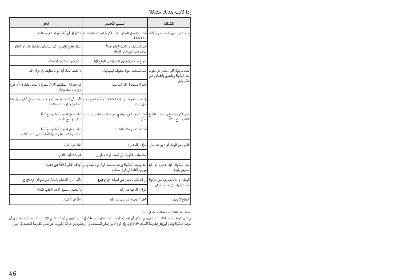**إذا كانت هنالك مشكلة**

| المشكلة                                    | السبب المُحتمل                                                                                                                                                                | الحل                                                                                                                                                   |
|--------------------------------------------|-------------------------------------------------------------------------------------------------------------------------------------------------------------------------------|--------------------------------------------------------------------------------------------------------------------------------------------------------|
|                                            | الماء يتسرّب من ثقوب نعل المكواة <mark>ا</mark> أنت تستعمل البخار بينما المكواة ليست ساخنة عا <mark>ا</mark> نتظر إلى أن يُطفأ مؤشر الترموستات.<br>فيه الكفاية.               |                                                                                                                                                        |
|                                            | أنت تستعمل زر نفث البخار قليلاً.<br>توجد كمية كبيرة من البخار.                                                                                                                | انتظر بضع ثوانٍ بين كل استعمال بالضغط على زر البخار                                                                                                    |
|                                            | تفريغ الماء منها ودون تثبيتها على الموقع ﷺ                                                                                                                                    | انظر فقرة «تخزين المكواة»                                                                                                                              |
| نعل المكواة وتلتصق بالقماش على<br>شكل بقع. | لطخات بنيّة اللون تصدر عن ثقوب   أنت تستعمل مواد تنظيف كيميائية.                                                                                                              | لا تُضف للماء أية مواد تنظيف في خزان الماء                                                                                                             |
|                                            | أنت لا تستعمل الماء المناسب                                                                                                                                                   | قم بعملية التنظيف الذاتي شهريًا واستعن بفقرة «أي نوع<br>من الماء تستعمل؟»                                                                              |
|                                            | قبل غسله.                                                                                                                                                                     | لم يجف القماش عا فيه الكفاية، أو أنك تقوم بكيه <mark>تأكد بأن الثياب قد جفت عا فيه الكفاية، لكي تُزال عنها بقايا</mark><br>الصابون والمواد الكيميائية. |
| الثياب ببقع داكنة.                         | نعل المكواة متسخ ويتسبب بتلطيخ <mark>ا</mark> أنتِ تقوم بالكي ببرنامج غير مناسب (الحرارة عالية <mark>ا</mark> نظف نعل المكواة كما موضح آنفًا.<br>حدًّا)                       | انتق البرنامج المناسب.                                                                                                                                 |
|                                            | أنت تستعمل مادة النشاء                                                                                                                                                        | نظف نعل المكواة كما موضح آنفًا.<br>استعمل النشاء على الجهة الخلفية من الثياب لكيها                                                                     |
| القليل من البخار أو لا يوجد بخار           | خزان الماء فارغ                                                                                                                                                               | املأ خزان الماء                                                                                                                                        |
|                                            | استعملت المكواة للكى الجاف لوقت طويل                                                                                                                                          | قم بالتنظيف الذاتي                                                                                                                                     |
| خدوش بليغة.                                | نعل   المكواة   فيه   عطب   أو   فيه <mark>ا</mark> لقد وضعت المكواة بوضع منبسط فوق لوح معدني أو <mark>ا</mark> أوقف المكواة دامًّا على عقبها<br> مررتها أثناء الكي فوق سحّاب |                                                                                                                                                        |
| بعد الانتهاء من تعبئة الخزان               | البخار أو الماء يتسرب من المكواة <mark>،</mark> زر التحكم بالبخار على الموقع @DRY \$                                                                                          | تأكد أن زر التحكم بالبخار على الموقع *@ DRY                                                                                                            |
|                                            | خزان الماء فيه ماء زائد                                                                                                                                                       | لا تتعدى مستوى الحد الأقصى MAX                                                                                                                         |
| البخاخ لا يعمل                             | الخزان يحتاج إلى مزيد من الماء.                                                                                                                                               | املأ خزان الماء.                                                                                                                                       |

فقط: W2400 ≥ مالحظة هامة ملوديالت

يف ظل ظروف غر مواتية للتيار الكهربايئ، ميكن أن تحدث ظواهر عابرة مثل انقطاعات يف التيار الكهربايئ أو تقلبات يف اإلضاءة. لذلك، من املستحسن أن .<br>توصل المكواة بظام كهربائي مقاومة أقصاها 0.29 اوم. وإذا لزم الأمر، مكن للمستخدم أن يطلب من شركة الكهرباء عن نظام المقاومة المعتمد في التيار.